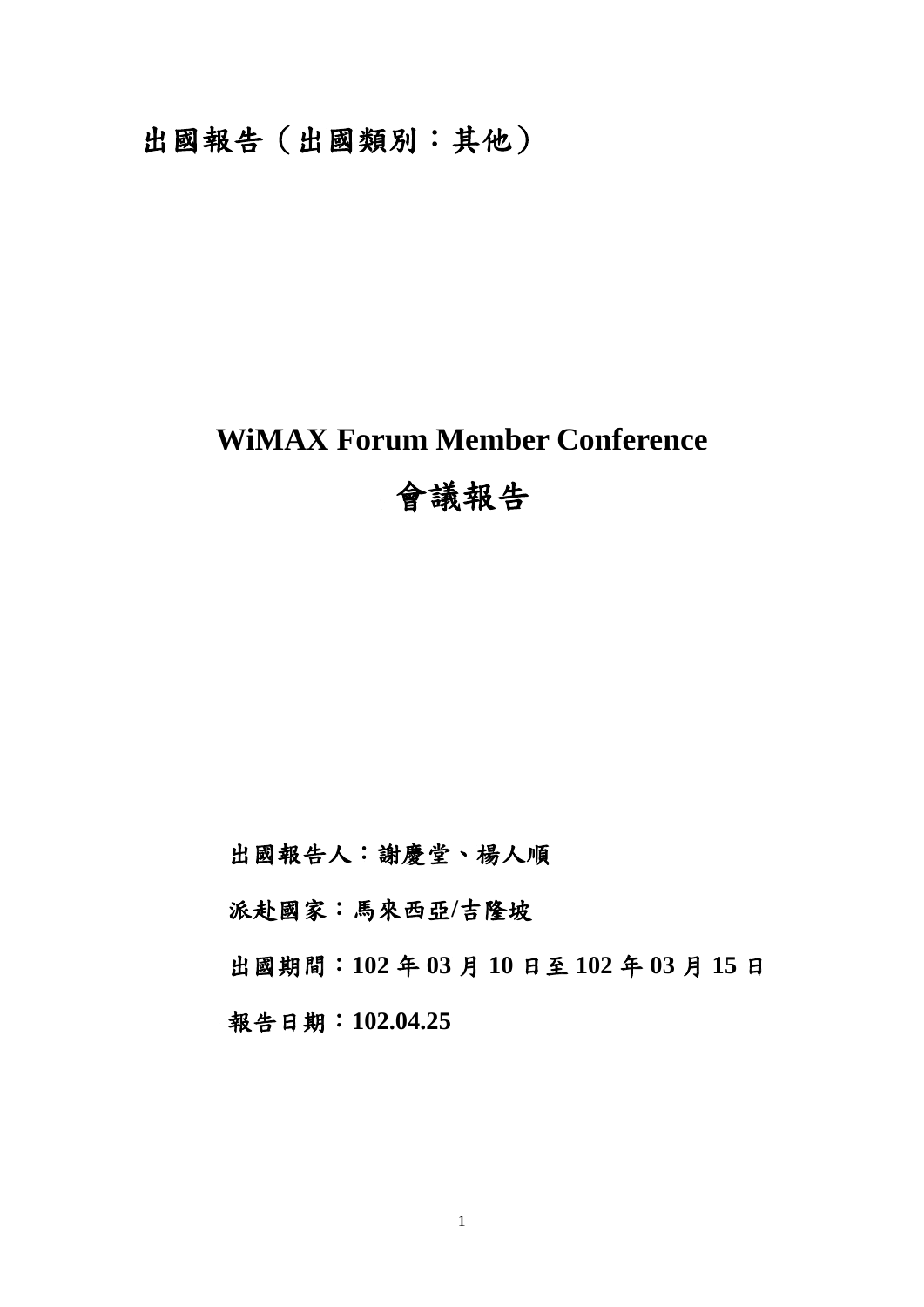出國報告(出國類別:其他)

# **WiMAX Forum Member Conference**

# 會議報告

出國報告人:謝慶堂、楊人順

派赴國家:馬來西亞**/**吉隆坡

出國期間:**102** 年 **03** 月 **10** 日至 **102** 年 **03** 月 **15** 日

報告日期:**102.04.25**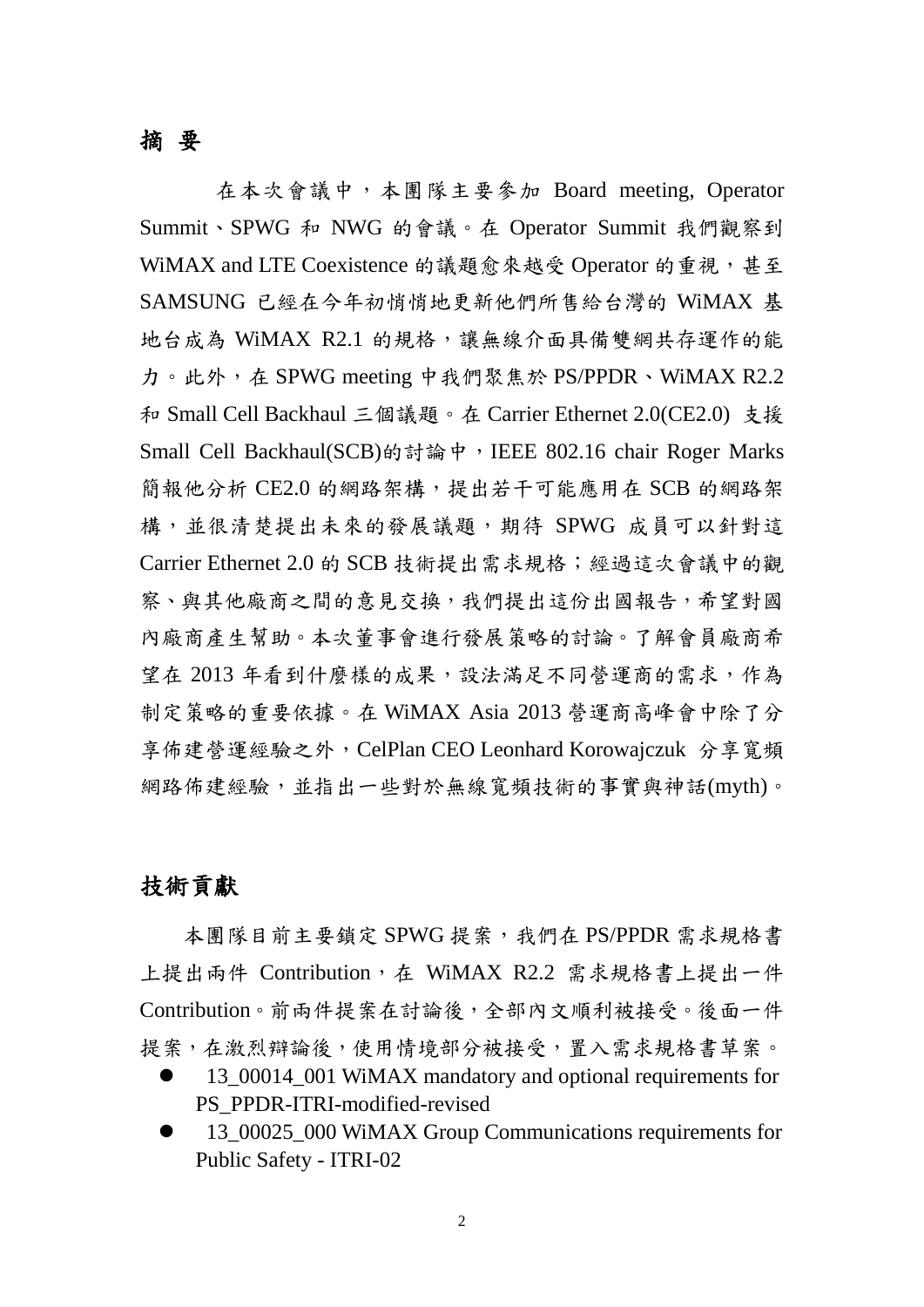摘 要

 在本次會議中,本團隊主要參加 Board meeting, Operator Summit、SPWG 和 NWG 的會議。在 Operator Summit 我們觀察到 WiMAX and LTE Coexistence 的議題愈來越受 Operator 的重視,甚至 SAMSUNG 已經在今年初悄悄地更新他們所售給台灣的 WiMAX 基 地台成為 WiMAX R2.1 的規格,讓無線介面具備雙網共存運作的能 力。此外,在 SPWG meeting 中我們聚焦於 PS/PPDR、WiMAX R2.2 和 Small Cell Backhaul 三個議題。在 Carrier Ethernet 2.0(CE2.0) 支援 Small Cell Backhaul(SCB)的討論中, IEEE 802.16 chair Roger Marks 簡報他分析 CE2.0 的網路架構,提出若干可能應用在 SCB 的網路架 構,並很清楚提出未來的發展議題,期待 SPWG 成員可以針對這 Carrier Ethernet 2.0 的 SCB 技術提出需求規格;經過這次會議中的觀 察、與其他廠商之間的意見交換,我們提出這份出國報告,希望對國 內廠商產生幫助。本次董事會進行發展策略的討論。了解會員廠商希 望在 2013 年看到什麼樣的成果,設法滿足不同營運商的需求,作為 制定策略的重要依據。在 WiMAX Asia 2013 營運商高峰會中除了分 享佈建營運經驗之外,CelPlan CEO Leonhard Korowajczuk 分享寬頻 網路佈建經驗,並指出一些對於無線寬頻技術的事實與神話(myth)。

# 技術貢獻

本團隊目前主要鎖定 SPWG 提案, 我們在 PS/PPDR 需求規格書 上提出兩件 Contribution, 在 WiMAX R2.2 需求規格書上提出一件 Contribution。前兩件提案在討論後,全部內文順利被接受。後面一件 提案,在激烈辯論後,使用情境部分被接受,置入需求規格書草案。

- 13\_00014\_001 WiMAX mandatory and optional requirements for PS\_PPDR-ITRI-modified-revised
- 13\_00025\_000 WiMAX Group Communications requirements for Public Safety - ITRI-02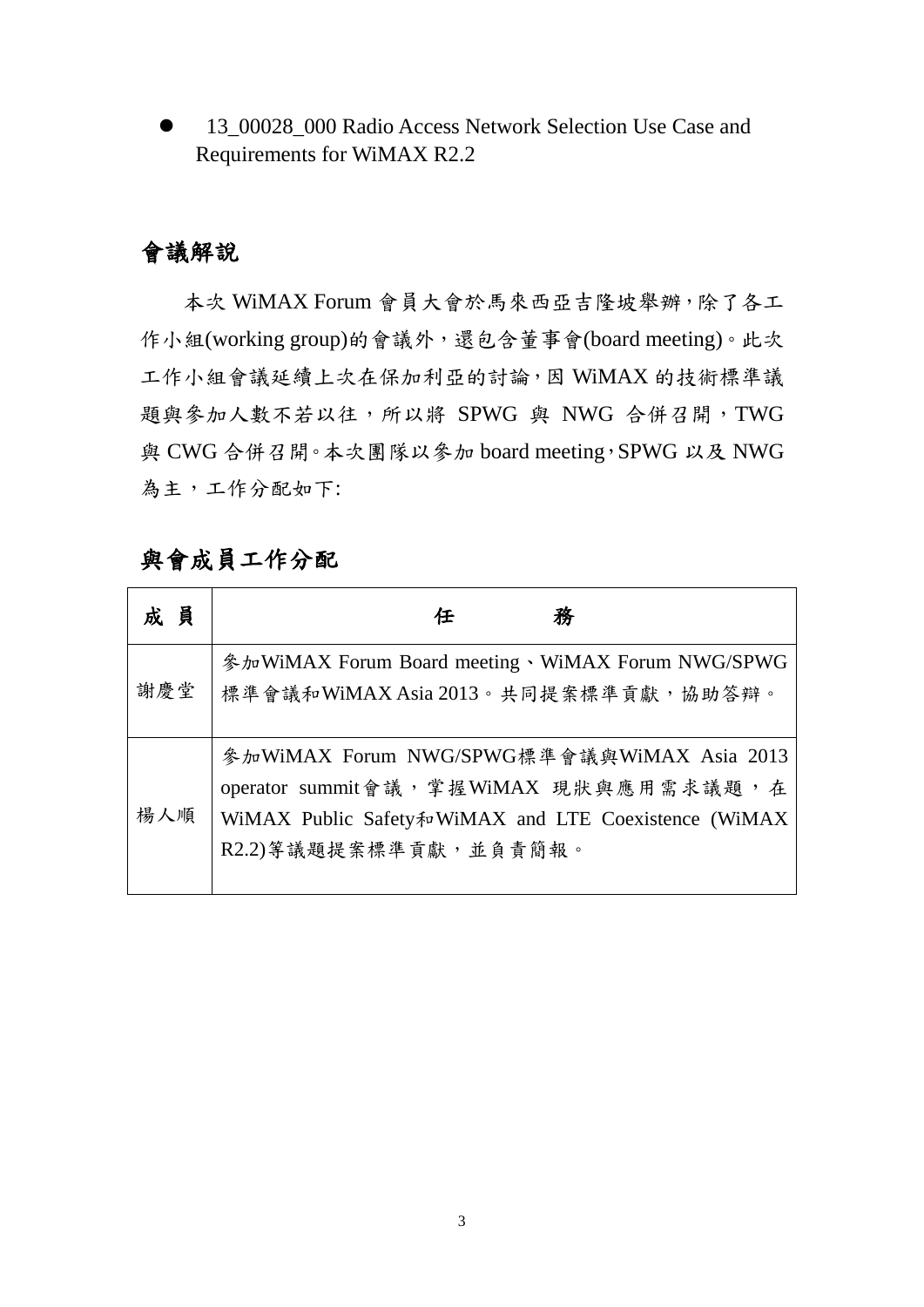13\_00028\_000 Radio Access Network Selection Use Case and Requirements for WiMAX R2.2

# 會議解說

本次 WiMAX Forum 會員大會於馬來西亞吉隆坡舉辦,除了各工 作小組(working group)的會議外,還包含董事會(board meeting)。此次 工作小組會議延續上次在保加利亞的討論,因 WiMAX 的技術標準議 題與參加人數不若以往,所以將 SPWG 與 NWG 合併召開,TWG 與 CWG 合併召開。本次團隊以參加 board meeting, SPWG 以及 NWG 為主,工作分配如下:

# 與會成員工作分配

| 成員  | 務<br>任                                                                                                                                                                    |
|-----|---------------------------------------------------------------------------------------------------------------------------------------------------------------------------|
| 謝慶堂 | 參加WiMAX Forum Board meeting、WiMAX Forum NWG/SPWG<br>標準會議和WiMAX Asia 2013。共同提案標準貢獻,協助答辯。                                                                                   |
| 楊人順 | 參加WiMAX Forum NWG/SPWG標準會議與WiMAX Asia 2013<br>operator summit會議,掌握WiMAX 現狀與應用需求議題,在<br>WiMAX Public Safety for WiMAX and LTE Coexistence (WiMAX<br>R2.2) 等議題提案標準貢獻,並負責簡報。 |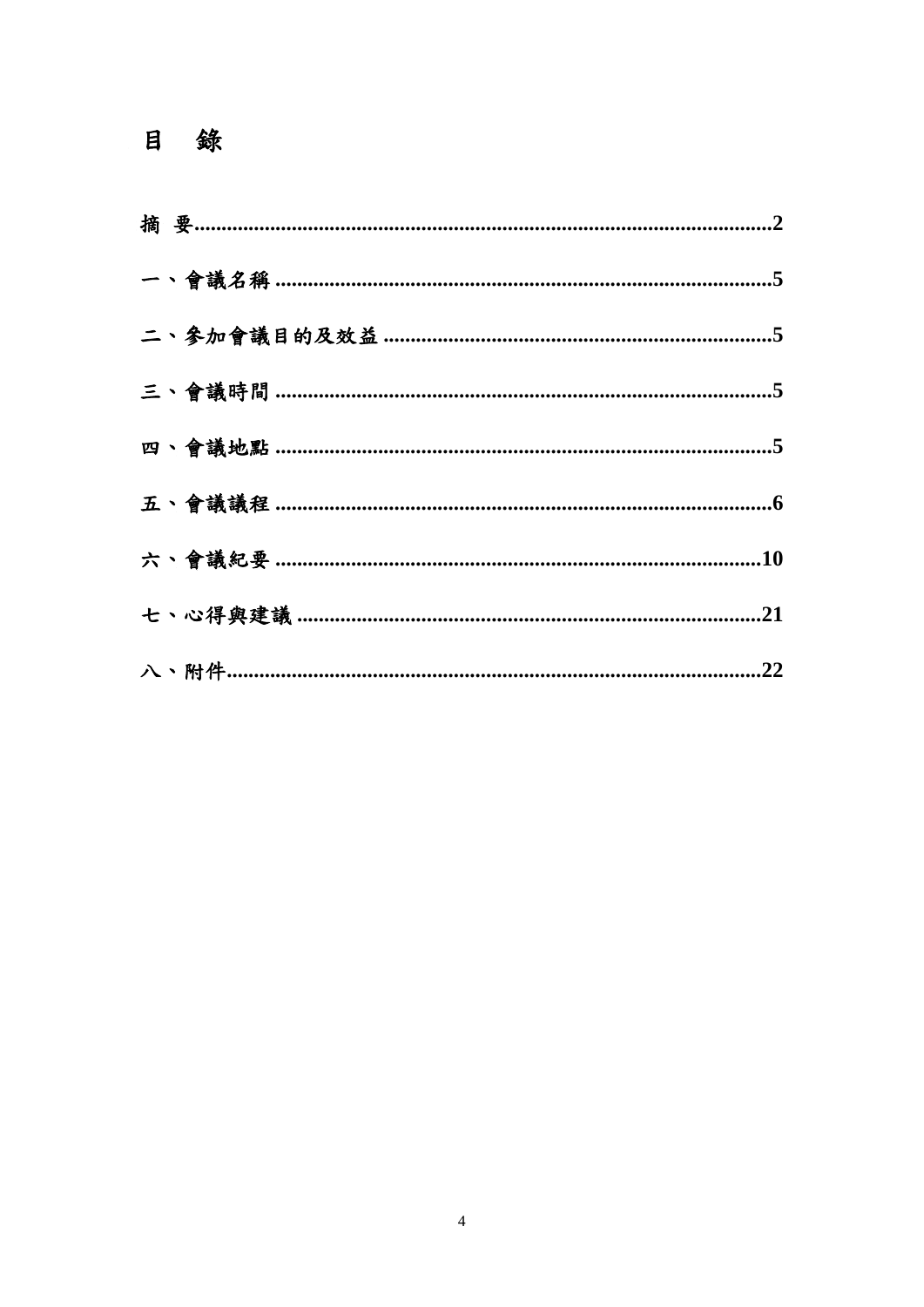# 目 錄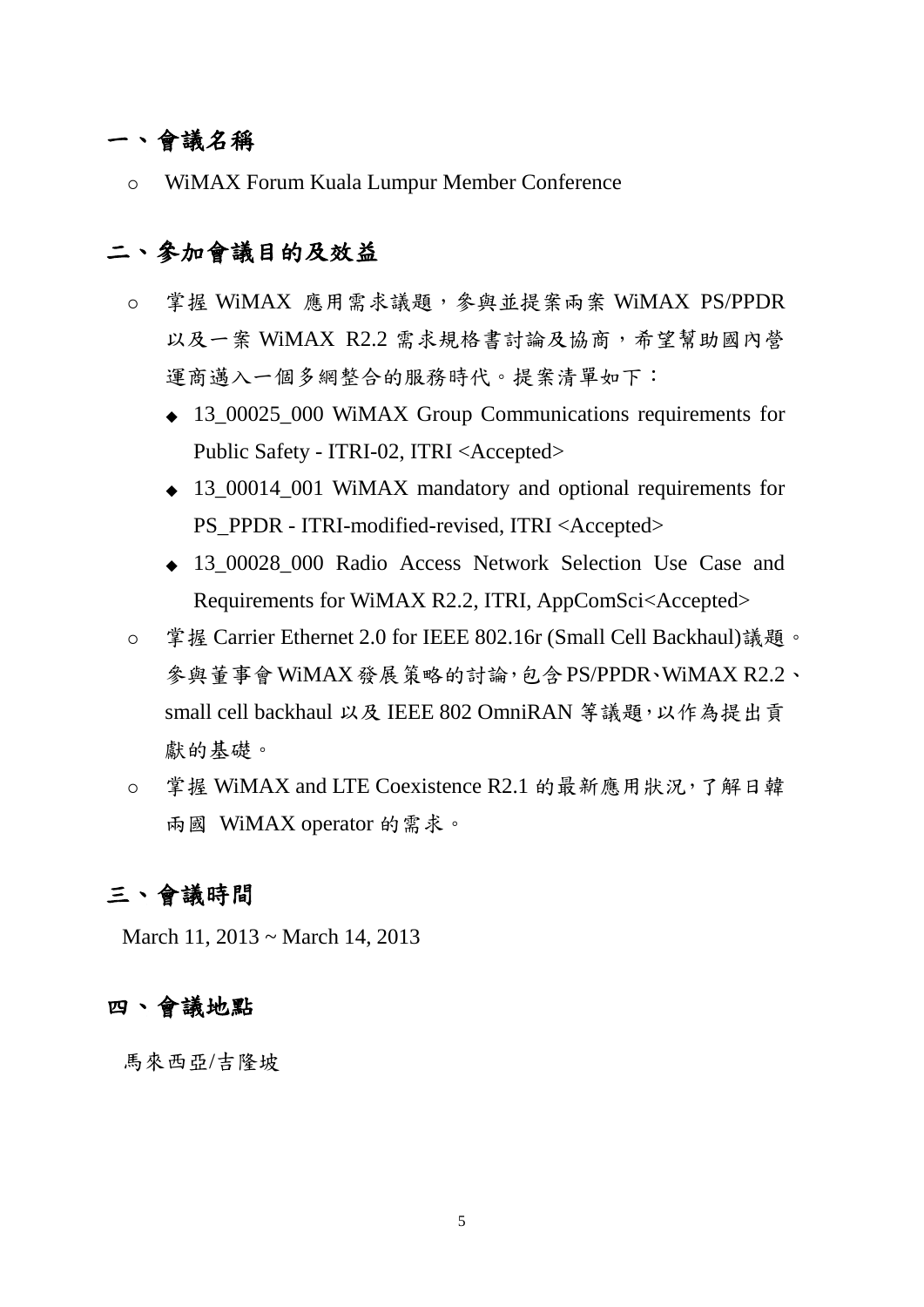# 一、會議名稱

WiMAX Forum Kuala Lumpur Member Conference

# 二、參加會議目的及效益

- 掌握 WiMAX 應用需求議題,參與並提案兩案 WiMAX PS/PPDR 以及一案 WiMAX R2.2 需求規格書討論及協商,希望幫助國內營 運商邁入一個多網整合的服務時代。提案清單如下:
	- ◆ 13\_00025\_000 WiMAX Group Communications requirements for Public Safety - ITRI-02, ITRI <Accepted>
	- ◆ 13\_00014\_001 WiMAX mandatory and optional requirements for PS\_PPDR - ITRI-modified-revised, ITRI <Accepted>
	- ◆ 13\_00028\_000 Radio Access Network Selection Use Case and Requirements for WiMAX R2.2, ITRI, AppComSci<Accepted>
- o 掌握 Carrier Ethernet 2.0 for IEEE 802.16r (Small Cell Backhaul)議題。 參與董事會WiMAX發展策略的討論,包含PS/PPDR、WiMAX R2.2、 small cell backhaul 以及 IEEE 802 OmniRAN 等議題, 以作為提出貢 獻的基礎。
- o 掌握 WiMAX and LTE Coexistence R2.1 的最新應用狀況,了解日韓 兩國 WiMAX operator 的需求。

# 三、會議時間

March 11, 2013 ~ March 14, 2013

## 四、會議地點

馬來西亞/吉隆坡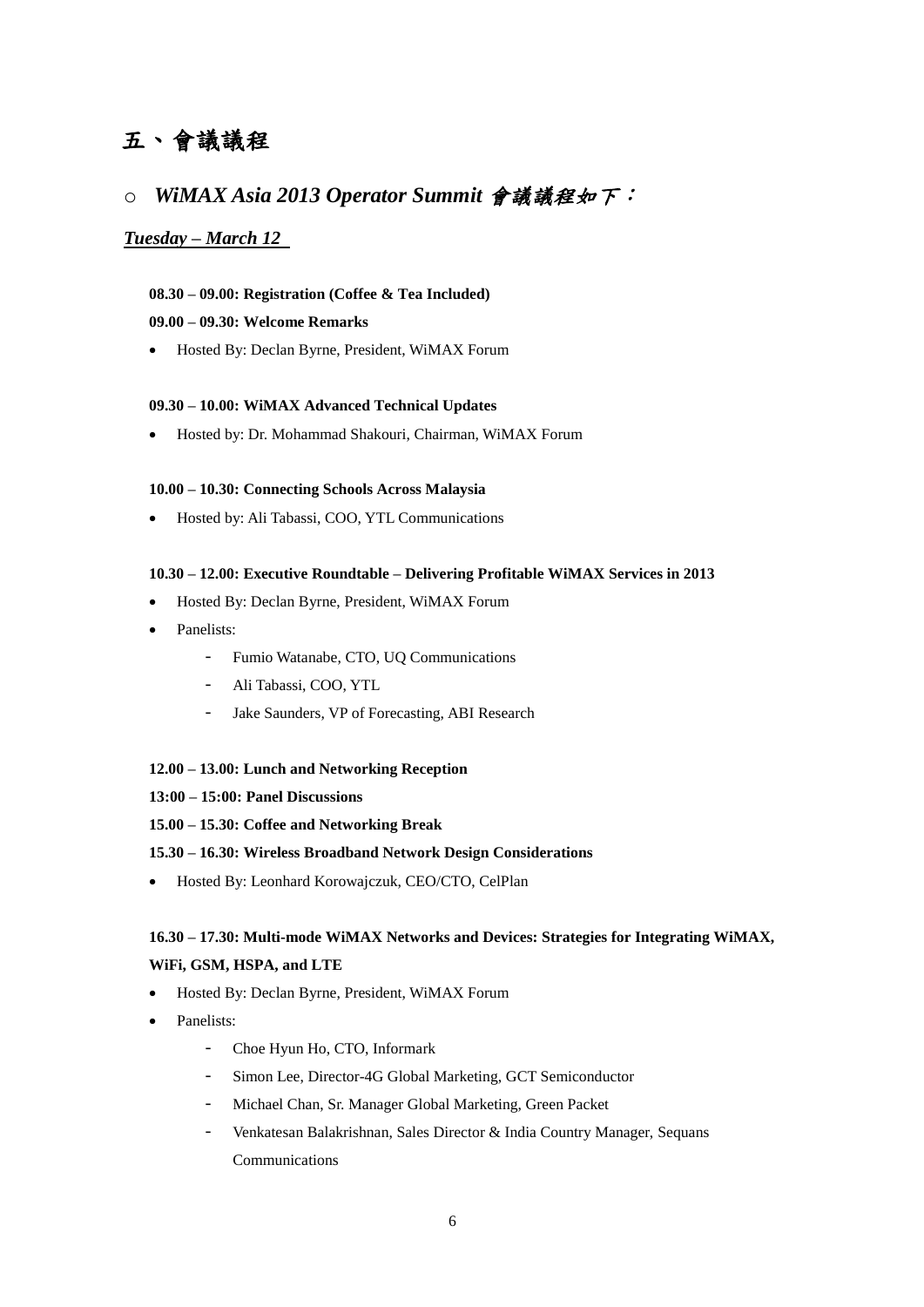# 五、會議議程

### o *WiMAX Asia 2013 Operator Summit* 會議議程如下:

### *Tuesday – March 12*

#### **08.30 – 09.00: Registration (Coffee & Tea Included)**

#### **09.00 – 09.30: Welcome Remarks**

Hosted By: Declan Byrne, President, WiMAX Forum

#### **09.30 – 10.00: WiMAX Advanced Technical Updates**

Hosted by: Dr. Mohammad Shakouri, Chairman, WiMAX Forum

#### **10.00 – 10.30: Connecting Schools Across Malaysia**

Hosted by: Ali Tabassi, COO, YTL Communications

#### **10.30 – 12.00: Executive Roundtable – Delivering Profitable WiMAX Services in 2013**

- Hosted By: Declan Byrne, President, WiMAX Forum
- Panelists:
	- Fumio Watanabe, CTO, UQ Communications
	- Ali Tabassi, COO, YTL
	- Jake Saunders, VP of Forecasting, ABI Research

#### **12.00 – 13.00: Lunch and Networking Reception**

- **13:00 – 15:00: Panel Discussions**
- **15.00 – 15.30: Coffee and Networking Break**

#### **15.30 – 16.30: Wireless Broadband Network Design Considerations**

Hosted By: Leonhard Korowajczuk, CEO/CTO, CelPlan

## **16.30 – 17.30: Multi-mode WiMAX Networks and Devices: Strategies for Integrating WiMAX, WiFi, GSM, HSPA, and LTE**

- Hosted By: Declan Byrne, President, WiMAX Forum
- Panelists:
	- Choe Hyun Ho, CTO, Informark
	- Simon Lee, Director-4G Global Marketing, GCT Semiconductor
	- Michael Chan, Sr. Manager Global Marketing, Green Packet
	- Venkatesan Balakrishnan, Sales Director & India Country Manager, Sequans Communications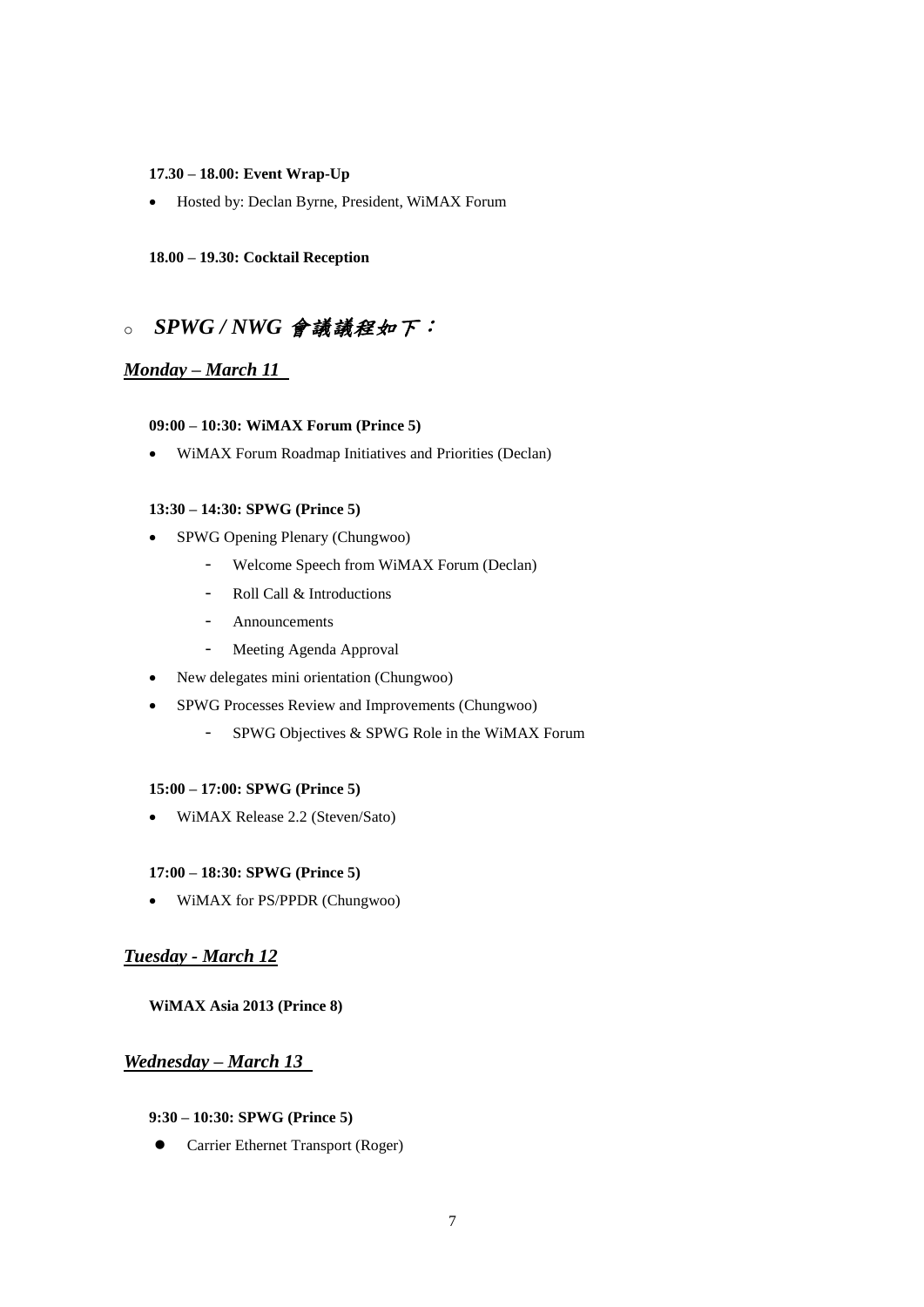#### **17.30 – 18.00: Event Wrap-Up**

Hosted by: Declan Byrne, President, WiMAX Forum

### **18.00 – 19.30: Cocktail Reception**

# o *SPWG / NWG* 會議議程如下:

### *Monday – March 11*

### **09:00 – 10:30: WiMAX Forum (Prince 5)**

WiMAX Forum Roadmap Initiatives and Priorities (Declan)

#### **13:30 – 14:30: SPWG (Prince 5)**

- SPWG Opening Plenary (Chungwoo)
	- Welcome Speech from WiMAX Forum (Declan)
	- Roll Call & Introductions
	- Announcements
	- Meeting Agenda Approval
- New delegates mini orientation (Chungwoo)
- SPWG Processes Review and Improvements (Chungwoo)
	- SPWG Objectives & SPWG Role in the WiMAX Forum

#### **15:00 – 17:00: SPWG (Prince 5)**

WiMAX Release 2.2 (Steven/Sato)

### **17:00 – 18:30: SPWG (Prince 5)**

WiMAX for PS/PPDR (Chungwoo)

### *Tuesday - March 12*

#### **WiMAX Asia 2013 (Prince 8)**

### *Wednesday – March 13*

**9:30 – 10:30: SPWG (Prince 5)**

**•** Carrier Ethernet Transport (Roger)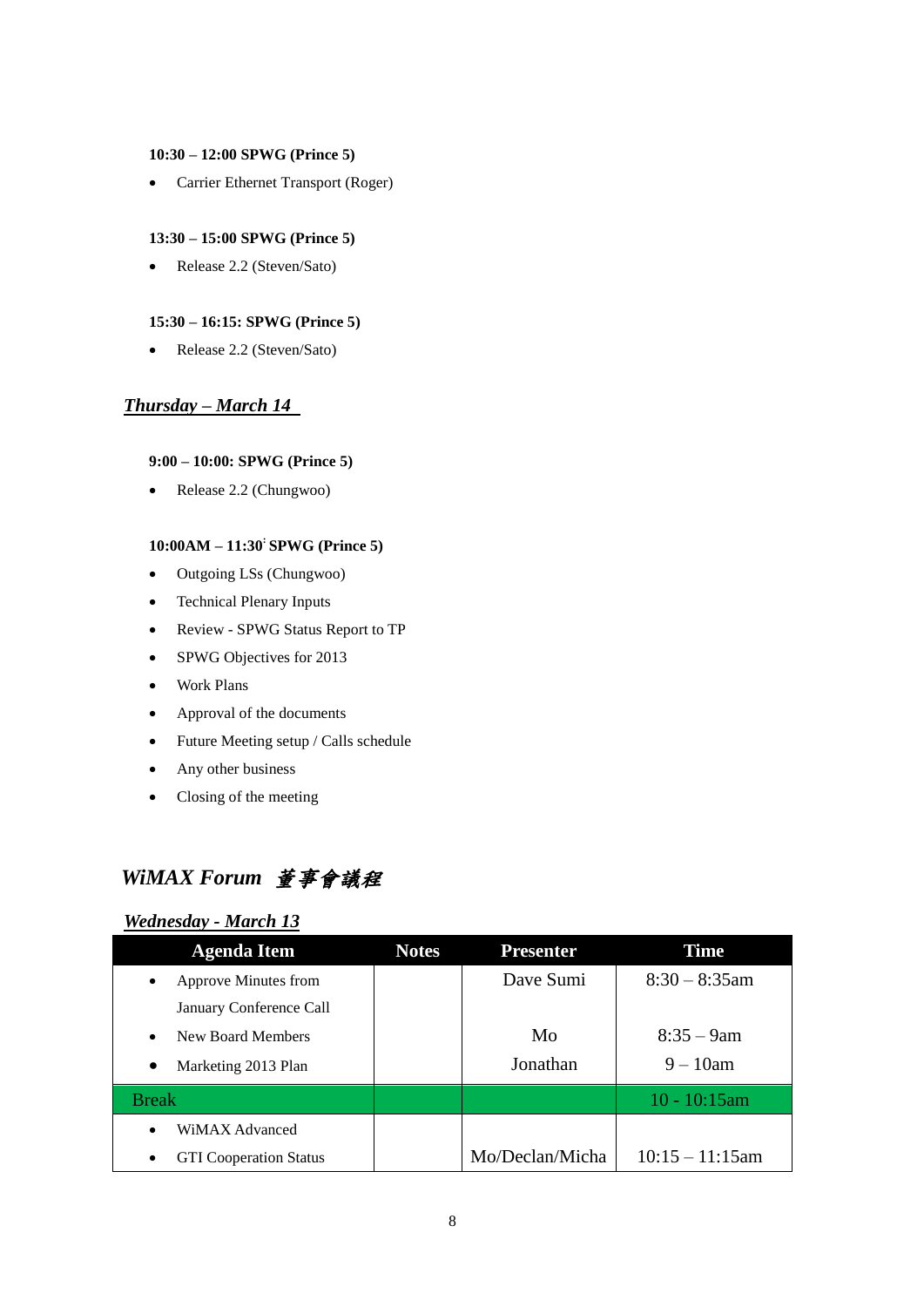### **10:30 – 12:00 SPWG (Prince 5)**

Carrier Ethernet Transport (Roger)

#### **13:30 – 15:00 SPWG (Prince 5)**

• Release 2.2 (Steven/Sato)

#### **15:30 – 16:15: SPWG (Prince 5)**

• Release 2.2 (Steven/Sato)

### *Thursday – March 14*

#### **9:00 – 10:00: SPWG (Prince 5)**

• Release 2.2 (Chungwoo)

#### **10:00AM – 11:30: SPWG (Prince 5)**

- Outgoing LSs (Chungwoo)
- Technical Plenary Inputs
- Review SPWG Status Report to TP
- SPWG Objectives for 2013
- Work Plans
- Approval of the documents
- Future Meeting setup / Calls schedule
- Any other business
- Closing of the meeting

# *WiMAX Forum* 董事會議程

### *Wednesday - March 13*

| <b>Agenda Item</b>                         | <b>Notes</b> | <b>Presenter</b> | Time               |
|--------------------------------------------|--------------|------------------|--------------------|
| Approve Minutes from<br>$\bullet$          |              | Dave Sumi        | $8:30 - 8:35$ am   |
| January Conference Call                    |              |                  |                    |
| New Board Members<br>$\bullet$             |              | Mo               | $8:35 - 9am$       |
| Marketing 2013 Plan<br>$\bullet$           |              | Jonathan         | $9 - 10$ am        |
| <b>Break</b>                               |              |                  | $10 - 10:15$ am    |
| WiMAX Advanced<br>$\bullet$                |              |                  |                    |
| <b>GTI</b> Cooperation Status<br>$\bullet$ |              | Mo/Declan/Micha  | $10:15 - 11:15$ am |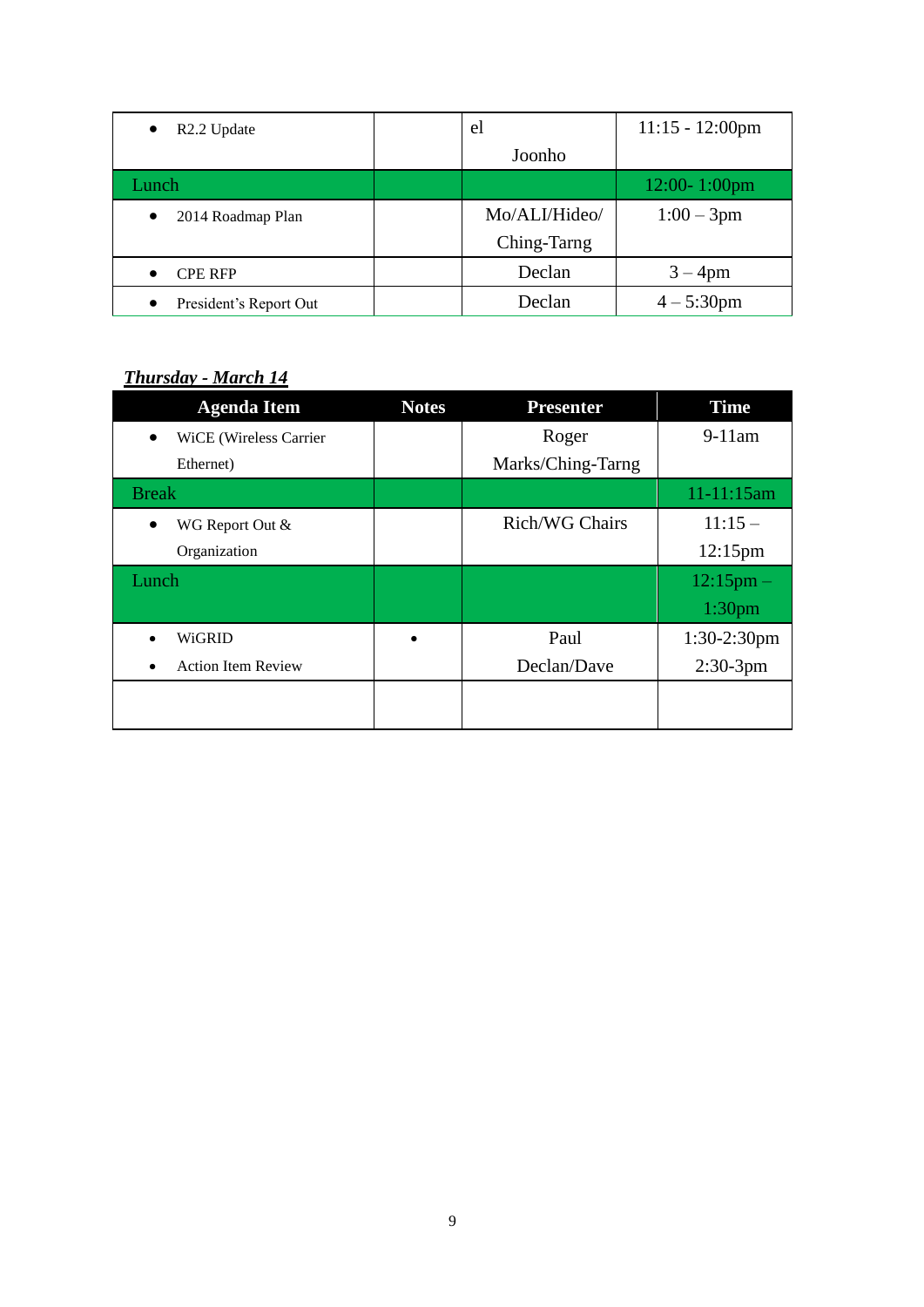| R <sub>2.2</sub> Update<br>$\bullet$ | el            | $11:15 - 12:00$ pm |
|--------------------------------------|---------------|--------------------|
|                                      | Joonho        |                    |
| Lunch                                |               | 12:00-1:00pm       |
| 2014 Roadmap Plan<br>$\bullet$       | Mo/ALI/Hideo/ | $1:00 - 3$ pm      |
|                                      | Ching-Tarng   |                    |
| <b>CPE RFP</b><br>٠                  | Declan        | $3 - 4$ pm         |
| President's Report Out<br>$\bullet$  | Declan        | $4 - 5:30$ pm      |

# *Thursday - March 14*

| <b>Agenda Item</b>                     | <b>Notes</b> | <b>Presenter</b>  | <b>Time</b>        |
|----------------------------------------|--------------|-------------------|--------------------|
| <b>WiCE</b> (Wireless Carrier          |              | Roger             | $9-11$ am          |
| Ethernet)                              |              | Marks/Ching-Tarng |                    |
| <b>Break</b>                           |              |                   | 11-11:15am         |
| WG Report Out &                        |              | Rich/WG Chairs    | $11:15-$           |
| Organization                           |              |                   | $12:15 \text{pm}$  |
| Lunch                                  |              |                   | $12:15$ pm $-$     |
|                                        |              |                   | 1:30 <sub>pm</sub> |
| WiGRID                                 | ٠            | Paul              | $1:30-2:30$ pm     |
| <b>Action Item Review</b><br>$\bullet$ |              | Declan/Dave       | $2:30-3$ pm        |
|                                        |              |                   |                    |
|                                        |              |                   |                    |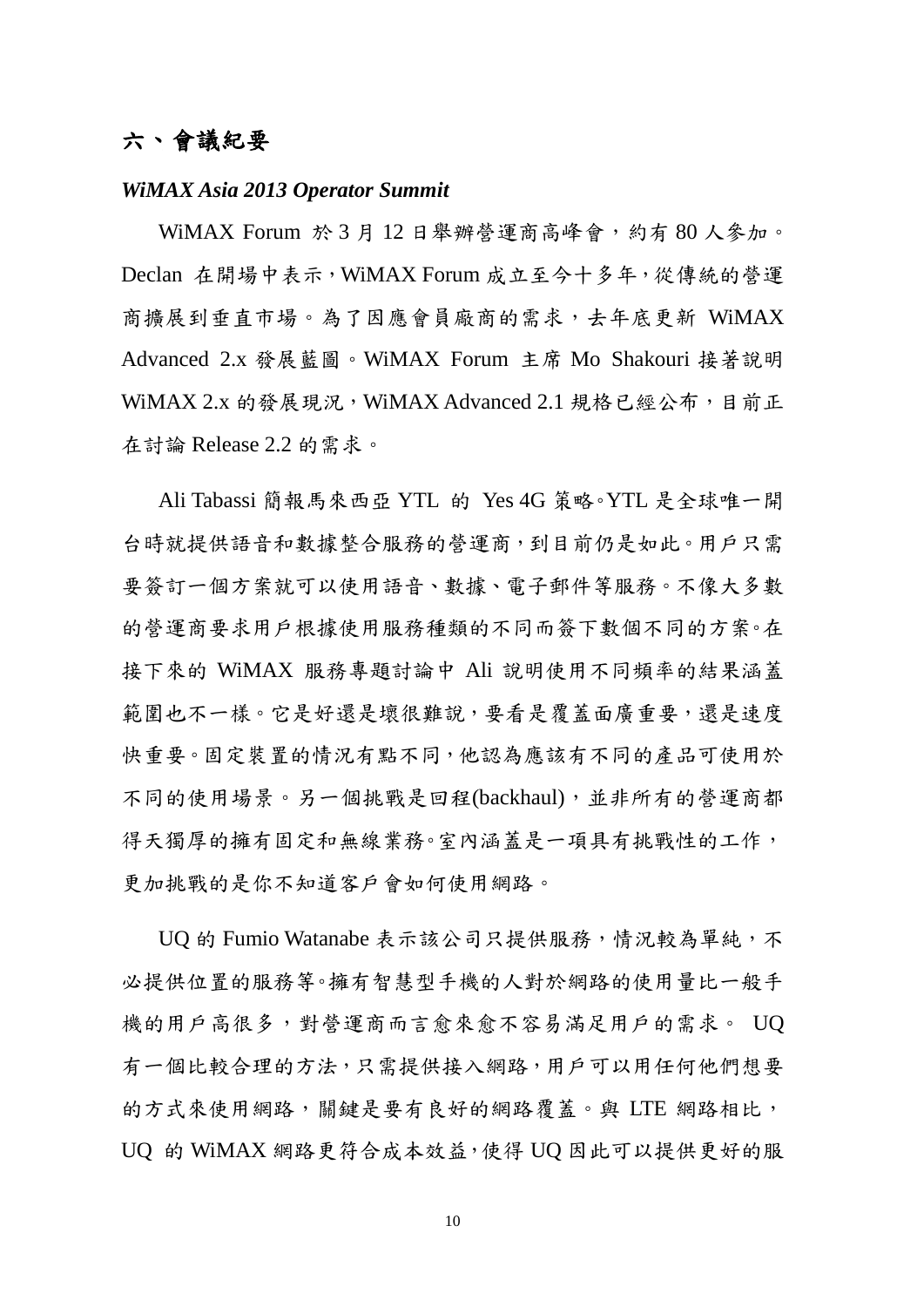# 六、會議紀要

### *WiMAX Asia 2013 Operator Summit*

WiMAX Forum 於 3 月 12 日舉辦營運商高峰會,約有 80 人參加。 Declan 在開場中表示,WiMAX Forum 成立至今十多年,從傳統的營運 商擴展到垂直市場。為了因應會員廠商的需求,去年底更新 WiMAX Advanced 2.x 發展藍圖。WiMAX Forum 主席 Mo Shakouri 接著說明 WiMAX 2.x 的發展現況, WiMAX Advanced 2.1 規格已經公布, 目前正 在討論 Release 2.2 的需求。

Ali Tabassi 簡報馬來西亞 YTL 的 Yes 4G 策略。YTL 是全球唯一開 台時就提供語音和數據整合服務的營運商,到目前仍是如此。用戶只需 要簽訂一個方案就可以使用語音、數據、電子郵件等服務。不像大多數 的營運商要求用戶根據使用服務種類的不同而簽下數個不同的方案。在 接下來的 WiMAX 服務專題討論中 Ali 說明使用不同頻率的結果涵蓋 範圍也不一樣。它是好還是壞很難說,要看是覆蓋面廣重要,還是速度 快重要。固定裝置的情況有點不同,他認為應該有不同的產品可使用於 不同的使用場景。另一個挑戰是回程(backhaul),並非所有的營運商都 得天獨厚的擁有固定和無線業務。室內涵蓋是一項具有挑戰性的工作, 更加挑戰的是你不知道客戶會如何使用網路。

UQ 的 Fumio Watanabe 表示該公司只提供服務,情況較為單純,不 必提供位置的服務等。擁有智慧型手機的人對於網路的使用量比一般手 機的用戶高很多,對營運商而言愈來愈不容易滿足用戶的需求。 UQ 有一個比較合理的方法,只需提供接入網路,用戶可以用任何他們想要 的方式來使用網路,關鍵是要有良好的網路覆蓋。與 LTE 網路相比, UQ 的 WiMAX 網路更符合成本效益,使得 UQ 因此可以提供更好的服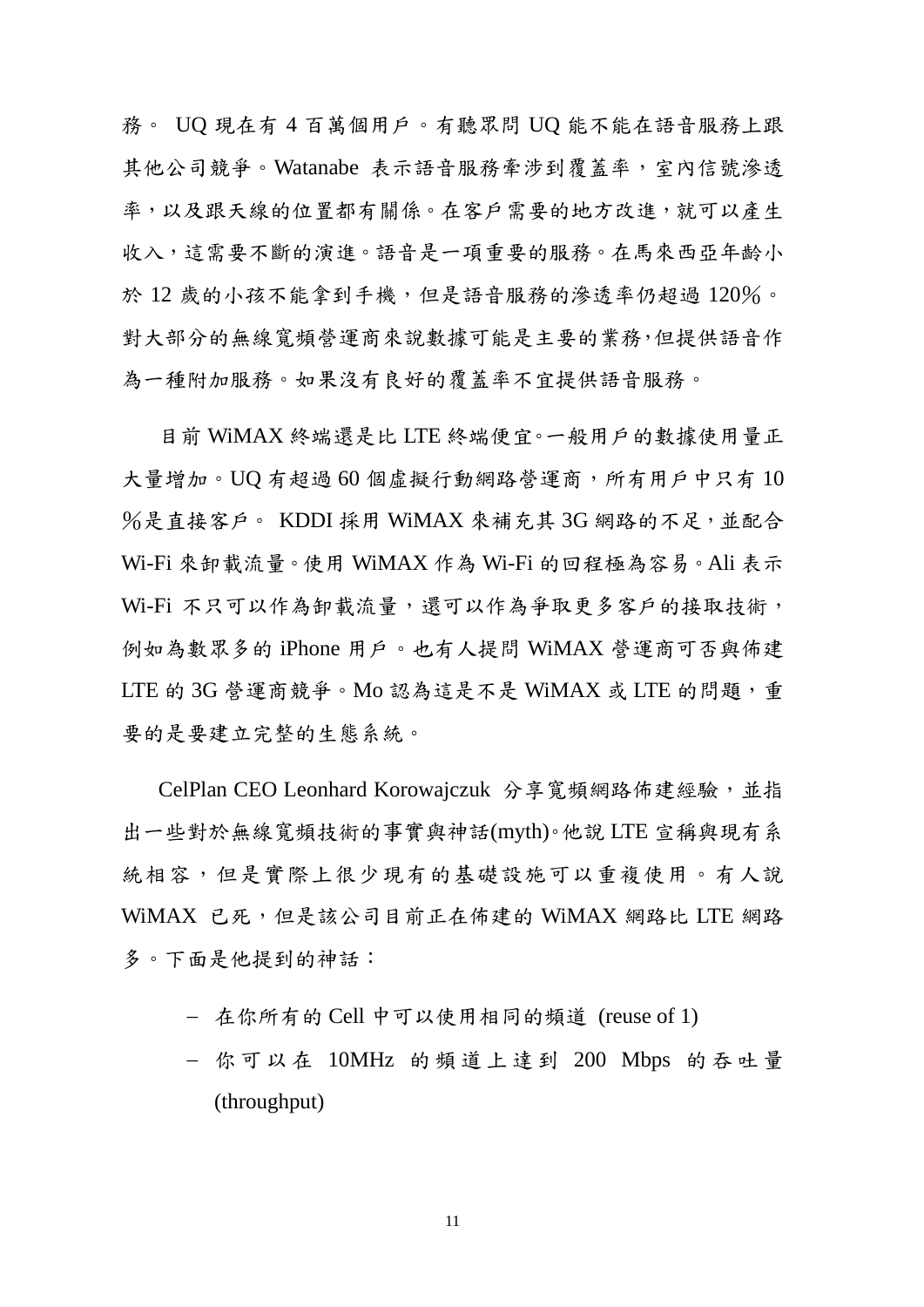務。 UQ 現在有 4 百萬個用戶。有聽眾問 UQ 能不能在語音服務上跟 其他公司競爭。Watanabe 表示語音服務牽涉到覆蓋率,室內信號滲透 率,以及跟天線的位置都有關係。在客戶需要的地方改進,就可以產生 收入,這需要不斷的演進。語音是一項重要的服務。在馬來西亞年齡小 於 12 歲的小孩不能拿到手機,但是語音服務的滲透率仍超過 120%。 對大部分的無線寬頻營運商來說數據可能是主要的業務,但提供語音作 為一種附加服務。如果沒有良好的覆蓋率不宜提供語音服務。

目前 WiMAX 終端還是比 LTE 終端便宜。一般用戶的數據使用量正 大量增加。UO 有超過 60 個虛擬行動網路營運商,所有用戶中只有 10  $%$ 是直接客戶。 KDDI 採用 WiMAX 來補充其 3G 網路的不足,並配合 Wi-Fi 來卸載流量。使用 WiMAX 作為 Wi-Fi 的回程極為容易。Ali 表示 Wi-Fi 不只可以作為卸載流量,還可以作為爭取更多客戶的接取技術, 例如為數眾多的 iPhone 用戶。也有人提問 WiMAX 營運商可否與佈建  $LTE$  的 3G 營運商競爭。Mo 認為這是不是 WiMAX 或 LTE 的問題, 重 要的是要建立完整的生態系統。

CelPlan CEO Leonhard Korowaiczuk 分享寬頻網路佈建經驗,並指 出一些對於無線寬頻技術的事實與神話(myth)。他說 LTE 宣稱與現有系 統相容,但是實際上很少現有的基礎設施可以重複使用。有人說 WiMAX 已死,但是該公司目前正在佈建的 WiMAX 網路比 LTE 網路 多。下面是他提到的神話:

- 在你所有的 Cell 中可以使用相同的頻道 (reuse of 1)
- 你可以在 10MHz 的頻道上達到 200 Mbps 的吞吐量 (throughput)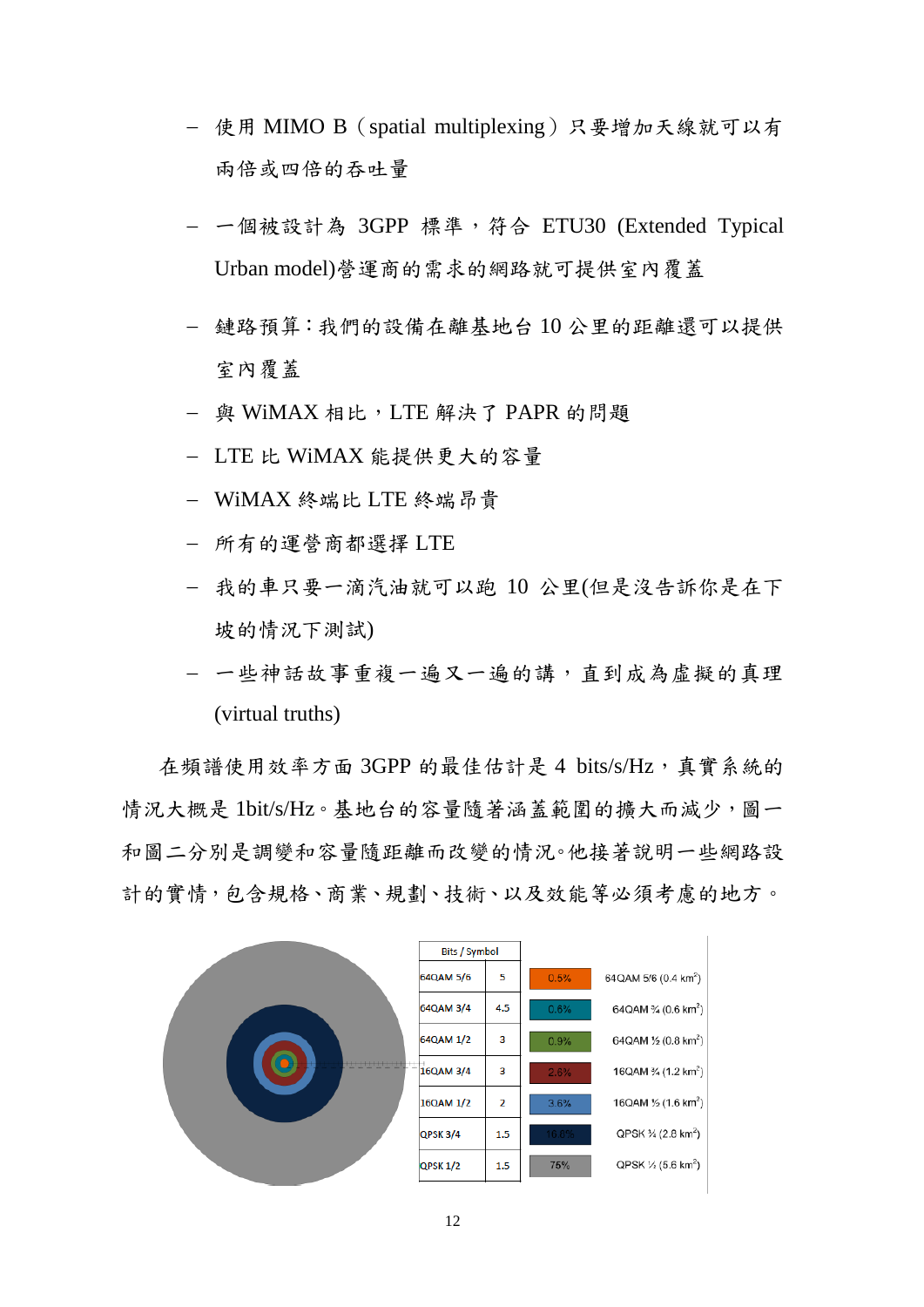- 使用 MIMO B(spatial multiplexing)只要增加天線就可以有 兩倍或四倍的吞吐量
- 一個被設計為 3GPP 標準,符合 ETU30 (Extended Typical Urban model)營運商的需求的網路就可提供室內覆蓋
- 鏈路預算:我們的設備在離基地台 10 公里的距離還可以提供 室內覆蓋
- 與 WiMAX 相比,LTE 解決了 PAPR 的問題
- LTE 比 WiMAX 能提供更大的容量
- WiMAX 終端比 LTE 終端昂貴
- 所有的運營商都選擇 LTE
- 我的車只要一滴汽油就可以跑 10 公里(但是沒告訴你是在下 坡的情況下測試)
- 一些神話故事重複一遍又一遍的講,直到成為虛擬的真理 (virtual truths)

在頻譜使用效率方面 3GPP 的最佳估計是 4 bits/s/Hz,真實系統的 情況大概是 1bit/s/Hz。基地台的容量隨著涵蓋範圍的擴大而減少,圖一 和圖二分別是調變和容量隨距離而改變的情況。他接著說明一些網路設 計的實情,包含規格、商業、規劃、技術、以及效能等必須考慮的地方。

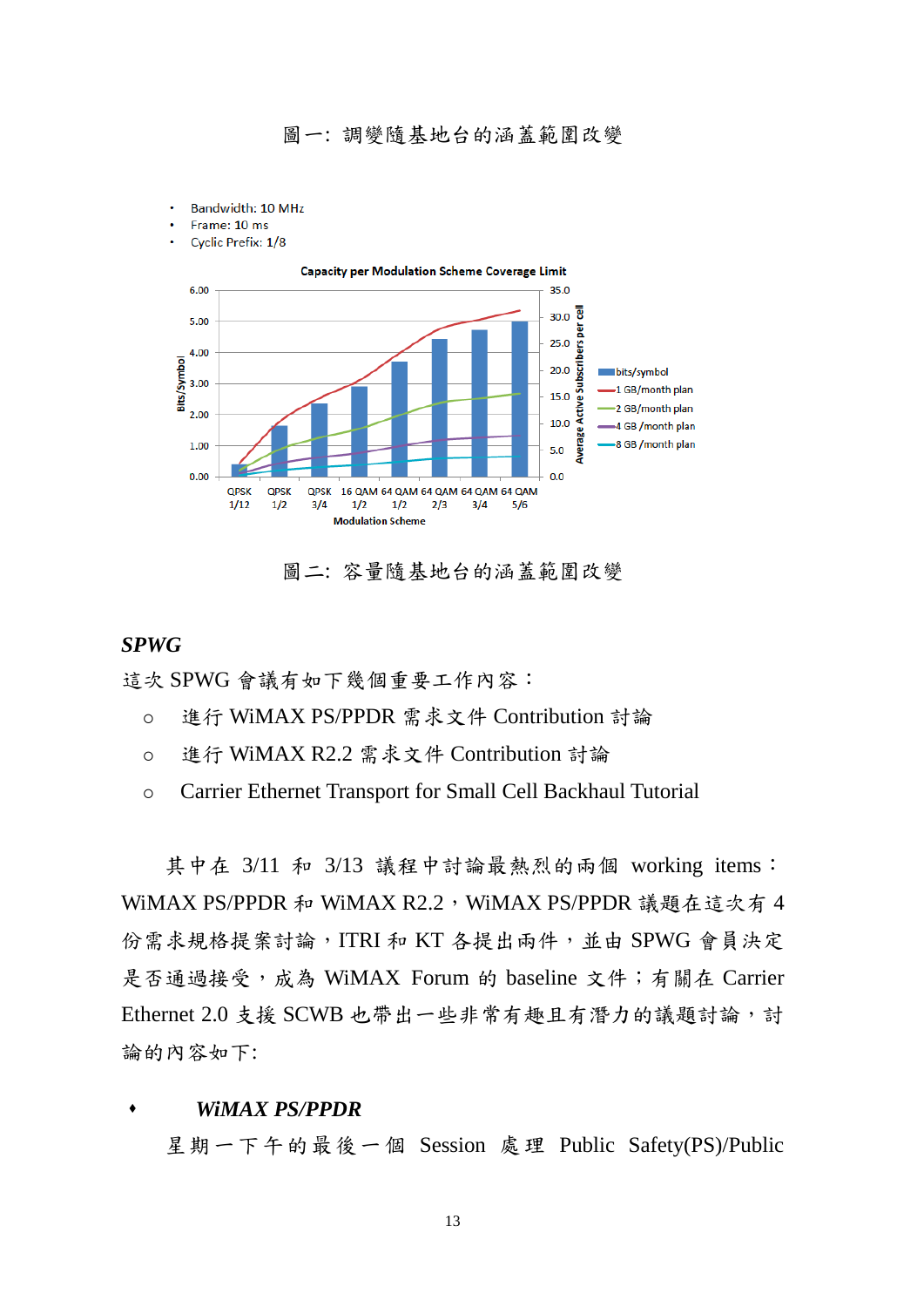圖一: 調變隨基地台的涵蓋範圍改變

- **Bandwidth: 10 MHz**
- Frame: 10 ms
- Cyclic Prefix: 1/8



圖二: 容量隨基地台的涵蓋範圍改變

### *SPWG*

這次 SPWG 會議有如下幾個重要工作內容:

- 進行 WiMAX PS/PPDR 需求文件 Contribution 討論
- 進行 WiMAX R2.2 需求文件 Contribution 討論
- Carrier Ethernet Transport for Small Cell Backhaul Tutorial

其中在 3/11 和 3/13 議程中討論最熱烈的兩個 working items: WiMAX PS/PPDR 和 WiMAX R2.2, WiMAX PS/PPDR 議題在這次有 4 份需求規格提案討論,ITRI 和 KT 各提出兩件,並由 SPWG 會員決定 是否通過接受,成為 WiMAX Forum 的 baseline 文件;有關在 Carrier Ethernet 2.0 支援 SCWB 也帶出一些非常有趣且有潛力的議題討論,討 論的內容如下:

### *WiMAX PS/PPDR*

星期一下午的最後一個 Session 處理 Public Safety(PS)/Public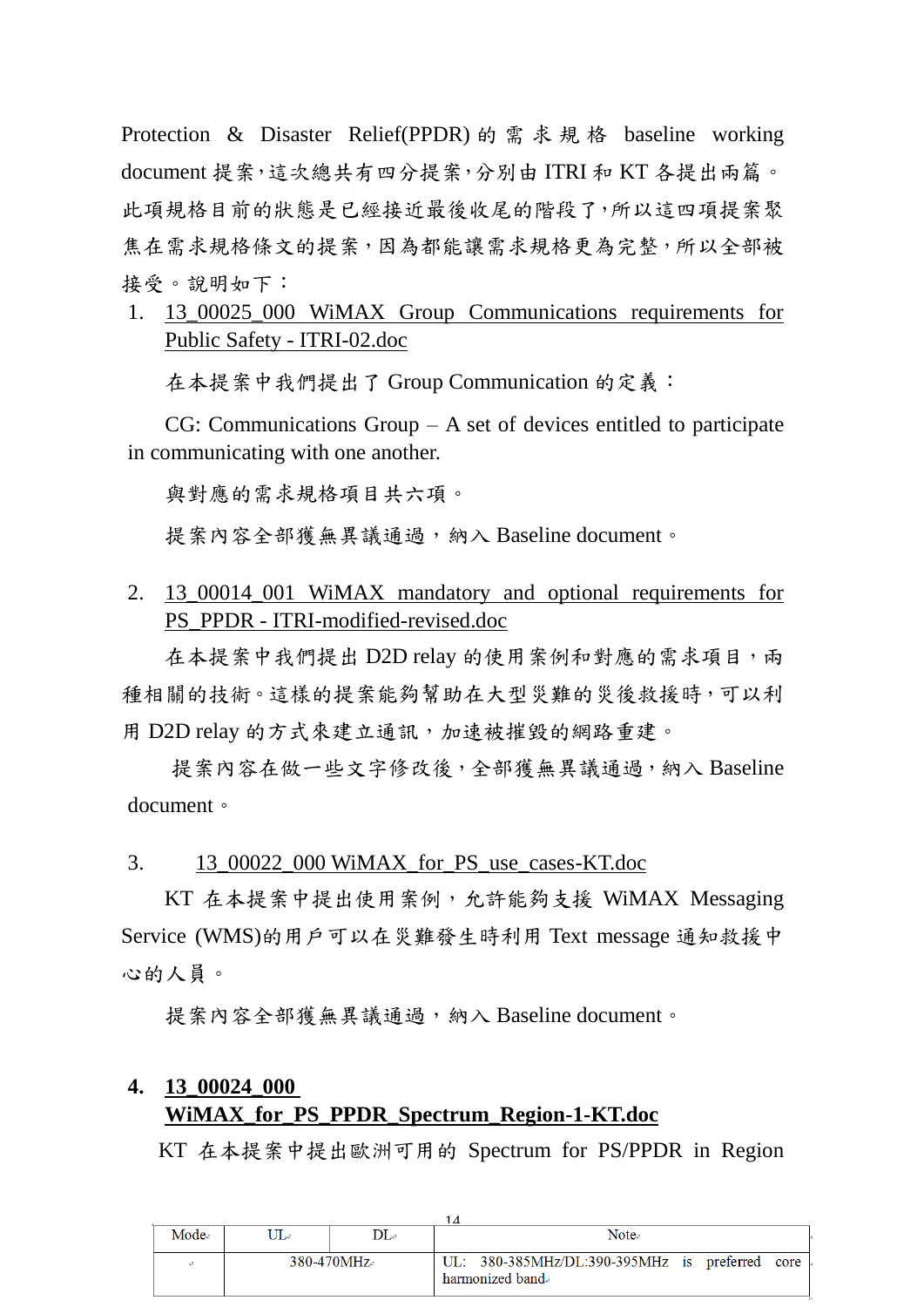Protection & Disaster Relief(PPDR) 的 需 求 規 格 baseline working document 提案,這次總共有四分提案,分別由 ITRI 和 KT 各提出兩篇。 此項規格目前的狀態是已經接近最後收尾的階段了,所以這四項提案聚 焦在需求規格條文的提案,因為都能讓需求規格更為完整,所以全部被 接受。說明如下:

# 1. [13\\_00025\\_000 WiMAX Group Communications requirements for](http://members.wimaxforum.org/apps/org/workgroup/spwg/download.php/63999/13_00025_000%20WiMAX%20Group%20Communications%20requirements%20for%20Public%20Safety%20-%20ITRI-02.doc)  [Public Safety -](http://members.wimaxforum.org/apps/org/workgroup/spwg/download.php/63999/13_00025_000%20WiMAX%20Group%20Communications%20requirements%20for%20Public%20Safety%20-%20ITRI-02.doc) ITRI-02.doc

在本提案中我們提出了 Group Communication 的定義:

CG: Communications Group – A set of devices entitled to participate in communicating with one another.

與對應的需求規格項目共六項。

提案內容全部獲無異議通過,納入 Baseline document。

# 2. 13\_00014\_001 WiMAX mandatory and optional requirements for PS\_PPDR - [ITRI-modified-revised.doc](http://members.wimaxforum.org/apps/org/workgroup/spwg/download.php/64009/13_00014_001%20WiMAX%20mandatory%20and%20optional%20requirements%20for%20PS_PPDR%20-%20ITRI-modified-revised.doc)

在本提案中我們提出 D2D relay 的使用案例和對應的需求項目,兩 種相關的技術。這樣的提案能夠幫助在大型災難的災後救援時,可以利 用 D2D relay 的方式來建立通訊,加速被摧毀的網路重建。

提案內容在做一些文字修改後,全部獲無異議通過,納入 Baseline document。

3. [13\\_00022\\_000 WiMAX\\_for\\_PS\\_use\\_cases-KT.doc](http://members.wimaxforum.org/apps/org/workgroup/spwg/download.php/63994/13_00022_000%20WiMAX_for_PS_use_cases-KT.doc)

KT 在本提案中提出使用案例,允許能夠支援 WiMAX Messaging Service (WMS)的用戶可以在災難發生時利用 Text message 通知救援中 心的人員。

提案內容全部獲無異議通過,納入 Baseline document。

## **4. [13\\_00024\\_000](http://members.wimaxforum.org/apps/org/workgroup/spwg/download.php/63997/13_00024_000%20WiMAX_for_PS_PPDR_Spectrum_Region-1-KT.doc)**

## **[WiMAX\\_for\\_PS\\_PPDR\\_Spectrum\\_Region-1-KT.doc](http://members.wimaxforum.org/apps/org/workgroup/spwg/download.php/63997/13_00024_000%20WiMAX_for_PS_PPDR_Spectrum_Region-1-KT.doc)**

KT 在本提案中提出歐洲可用的 Spectrum for PS/PPDR in Region

| IΔ                |                 |  |  |                                                                    |  |  |  |  |
|-------------------|-----------------|--|--|--------------------------------------------------------------------|--|--|--|--|
| Mode <sub>e</sub> |                 |  |  | Note.                                                              |  |  |  |  |
| s                 | $380 - 470$ MHz |  |  | UL: 380-385MHz/DL:390-395MHz is preferred core<br>harmonized band. |  |  |  |  |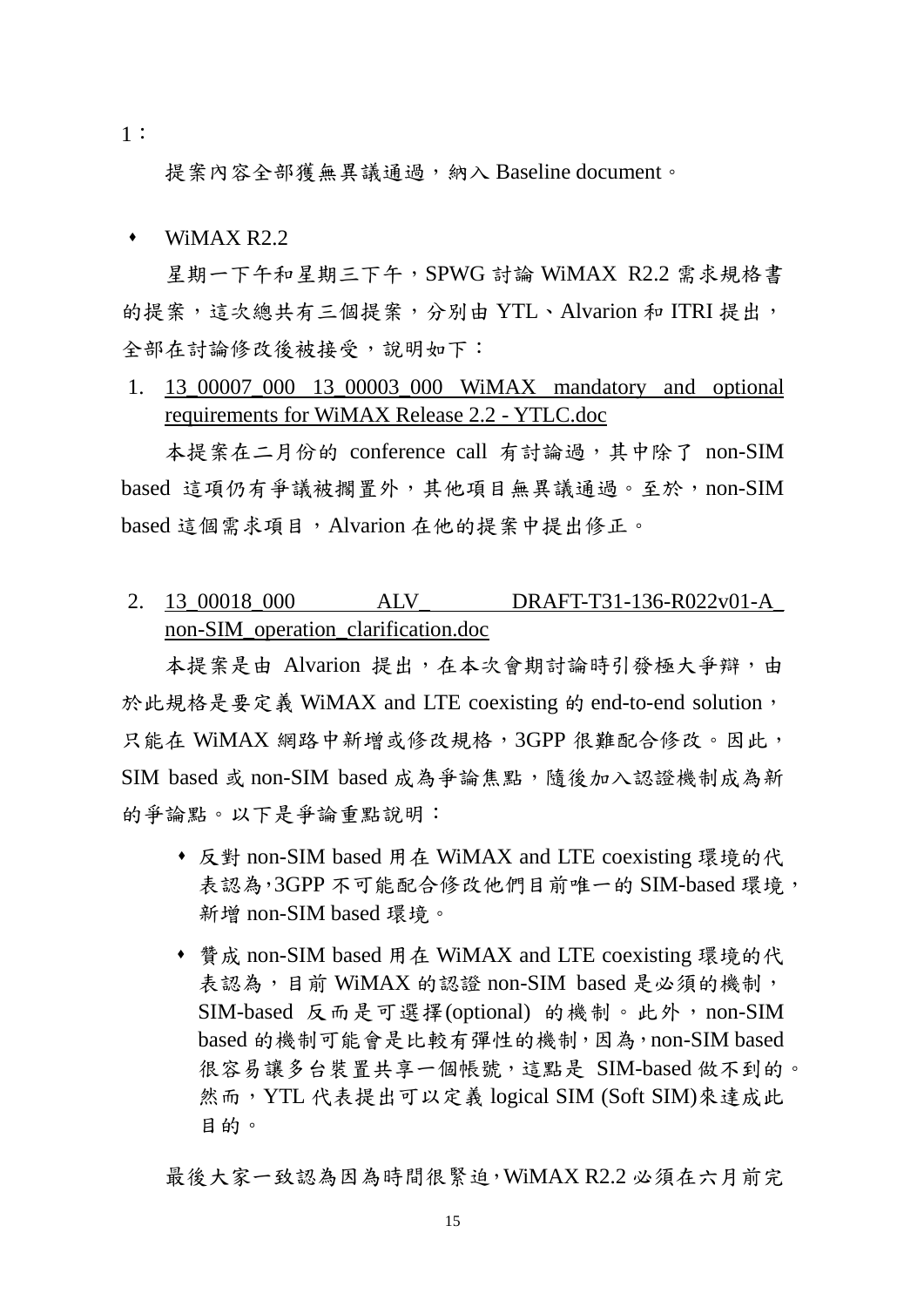1:

提案內容全部獲無異議通過,納入 Baseline document。

WiMAX R2.2

星期一下午和星期三下午,SPWG 討論 WiMAX R2.2 需求規格書 的提案,這次總共有三個提案,分別由 YTL、Alvarion 和 ITRI 提出, 全部在討論修改後被接受,說明如下:

1. [13\\_00007\\_000 13\\_00003\\_000 WiMAX mandatory and optional](http://members.wimaxforum.org/apps/org/workgroup/spwg/download.php/63909/13_00007_000%2013_00003_000%20WiMAX%20mandatory%20and%20optional%20requirements%20for%20WiMAX%20Release%202.2%20-%20YTLC.doc)  [requirements for WiMAX Release 2.2 -](http://members.wimaxforum.org/apps/org/workgroup/spwg/download.php/63909/13_00007_000%2013_00003_000%20WiMAX%20mandatory%20and%20optional%20requirements%20for%20WiMAX%20Release%202.2%20-%20YTLC.doc) YTLC.doc

本提案在二月份的 conference call 有討論過,其中除了 non-SIM based 這項仍有爭議被擱置外,其他項目無異議通過。至於,non-SIM based 這個需求項目,Alvarion 在他的提案中提出修正。

2. 13\_00018\_000 ALV\_ DRAFT-T31-136-R022v01-A [non-SIM\\_operation\\_clarification.doc](http://members.wimaxforum.org/apps/org/workgroup/spwg/download.php/63979/13_00018_000%20ALV_%20DRAFT-T31-136-R022v01-A_%20non-SIM_operation_clarification.doc)

本提案是由 Alvarion 提出,在本次會期討論時引發極大爭辯,由 於此規格是要定義 WiMAX and LTE coexisting 的 end-to-end solution, 只能在 WiMAX 網路中新增或修改規格, 3GPP 很難配合修改。因此, SIM based 或 non-SIM based 成為爭論焦點,隨後加入認證機制成為新 的爭論點。以下是爭論重點說明:

- 反對 non-SIM based 用在 WiMAX and LTE coexisting 環境的代 表認為,3GPP 不可能配合修改他們目前唯一的 SIM-based 環境, 新增 non-SIM based 環境。
- ◆ 贊成 non-SIM based 用在 WiMAX and LTE coexisting 環境的代 表認為,目前 WiMAX 的認證 non-SIM based 是必須的機制, SIM-based 反而是可選擇(optional) 的機制。此外,non-SIM based 的機制可能會是比較有彈性的機制,因為,non-SIM based 很容易讓多台裝置共享一個帳號,這點是 SIM-based 做不到的。 然而,YTL 代表提出可以定義 logical SIM (Soft SIM)來達成此 目的。

最後大家一致認為因為時間很緊迫,WiMAX R2.2 必須在六月前完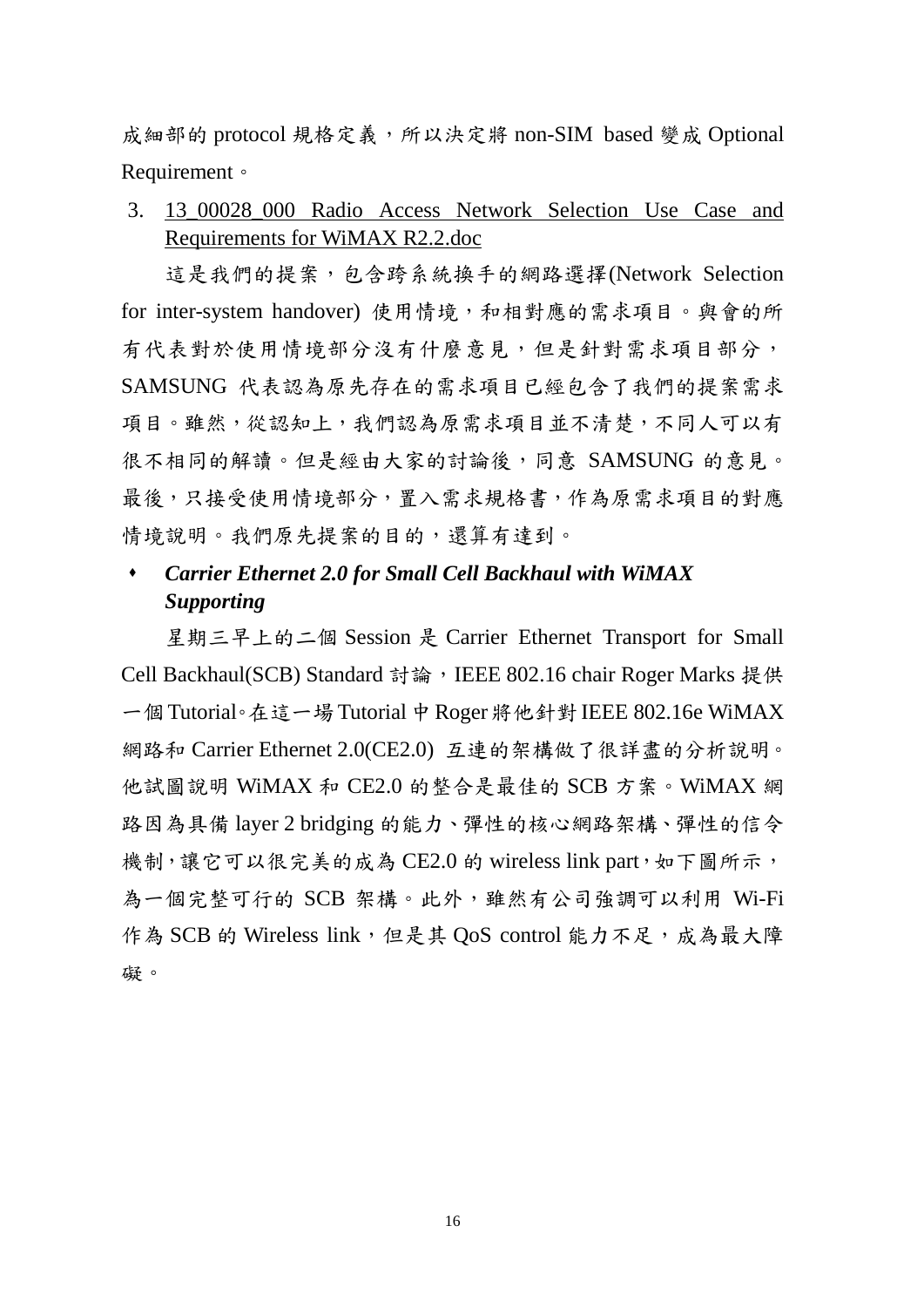成細部的 protocol 規格定義,所以決定將 non-SIM based 變成 Optional Requirement。

3. [13\\_00028\\_000 Radio Access Network Selection Use Case and](http://members.wimaxforum.org/apps/org/workgroup/spwg/download.php/64018/13_00028_000%20Radio%20Access%20Network%20Selection%20Use%20Case%20and%20Requirements%20for%20WiMAX%20R2.2.doc)  [Requirements for WiMAX R2.2.doc](http://members.wimaxforum.org/apps/org/workgroup/spwg/download.php/64018/13_00028_000%20Radio%20Access%20Network%20Selection%20Use%20Case%20and%20Requirements%20for%20WiMAX%20R2.2.doc)

這是我們的提案,包含跨系統換手的網路選擇(Network Selection for inter-system handover) 使用情境,和相對應的需求項目。與會的所 有代表對於使用情境部分沒有什麼意見,但是針對需求項目部分, SAMSUNG 代表認為原先存在的需求項目已經包含了我們的提案需求 項目。雖然,從認知上,我們認為原需求項目並不清楚,不同人可以有 很不相同的解讀。但是經由大家的討論後,同意 SAMSUNG 的意見。 最後,只接受使用情境部分,置入需求規格書,作為原需求項目的對應 情境說明。我們原先提案的目的,還算有達到。

# *Carrier Ethernet 2.0 for Small Cell Backhaul with WiMAX Supporting*

星期三早上的二個 Session 是 Carrier Ethernet Transport for Small Cell Backhaul(SCB) Standard 討論, IEEE 802.16 chair Roger Marks 提供 一個Tutorial。在這一場Tutorial中Roger將他針對IEEE 802.16e WiMAX 網路和 Carrier Ethernet 2.0(CE2.0) 互連的架構做了很詳盡的分析說明。 他試圖說明 WiMAX 和 CE2.0 的整合是最佳的 SCB 方案。WiMAX 網 路因為具備 layer 2 bridging 的能力、彈性的核心網路架構、彈性的信令 機制,讓它可以很完美的成為 CE2.0 的 wireless link part, 如下圖所示, 為一個完整可行的 SCB 架構。此外,雖然有公司強調可以利用 Wi-Fi 作為 SCB 的 Wireless link,但是其 QoS control 能力不足,成為最大障 礙。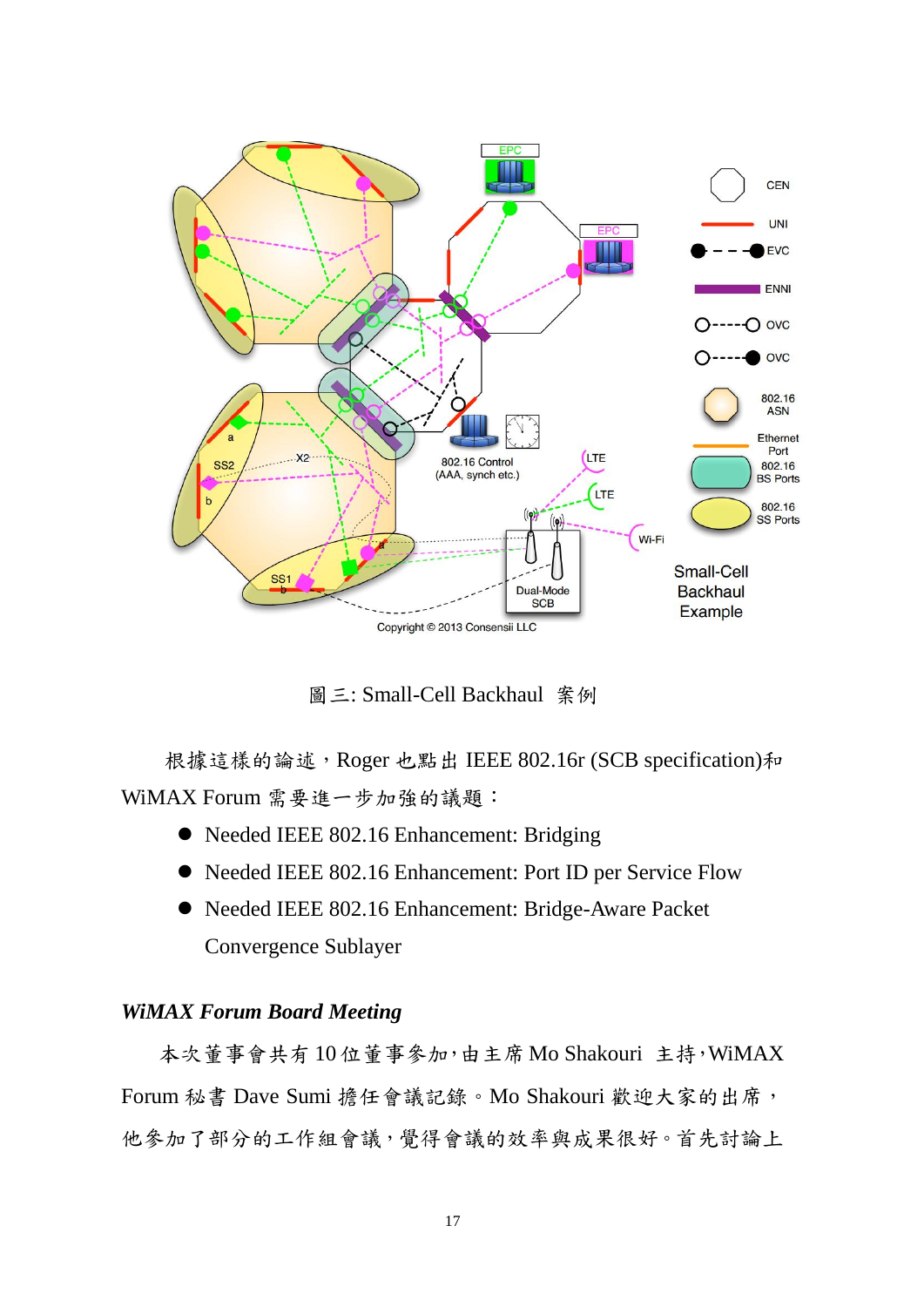

圖三: Small-Cell Backhaul 案例

根據這樣的論述,Roger 也點出 IEEE 802.16r (SCB specification)和 WiMAX Forum 需要進一步加強的議題:

- Needed IEEE 802.16 Enhancement: Bridging
- Needed IEEE 802.16 Enhancement: Port ID per Service Flow
- Needed IEEE 802.16 Enhancement: Bridge-Aware Packet Convergence Sublayer

# *WiMAX Forum Board Meeting*

本次董事會共有 10 位董事參加,由主席 Mo Shakouri 主持,WiMAX Forum 秘書 Dave Sumi 擔任會議記錄。Mo Shakouri 歡迎大家的出席, 他參加了部分的工作組會議,覺得會議的效率與成果很好。首先討論上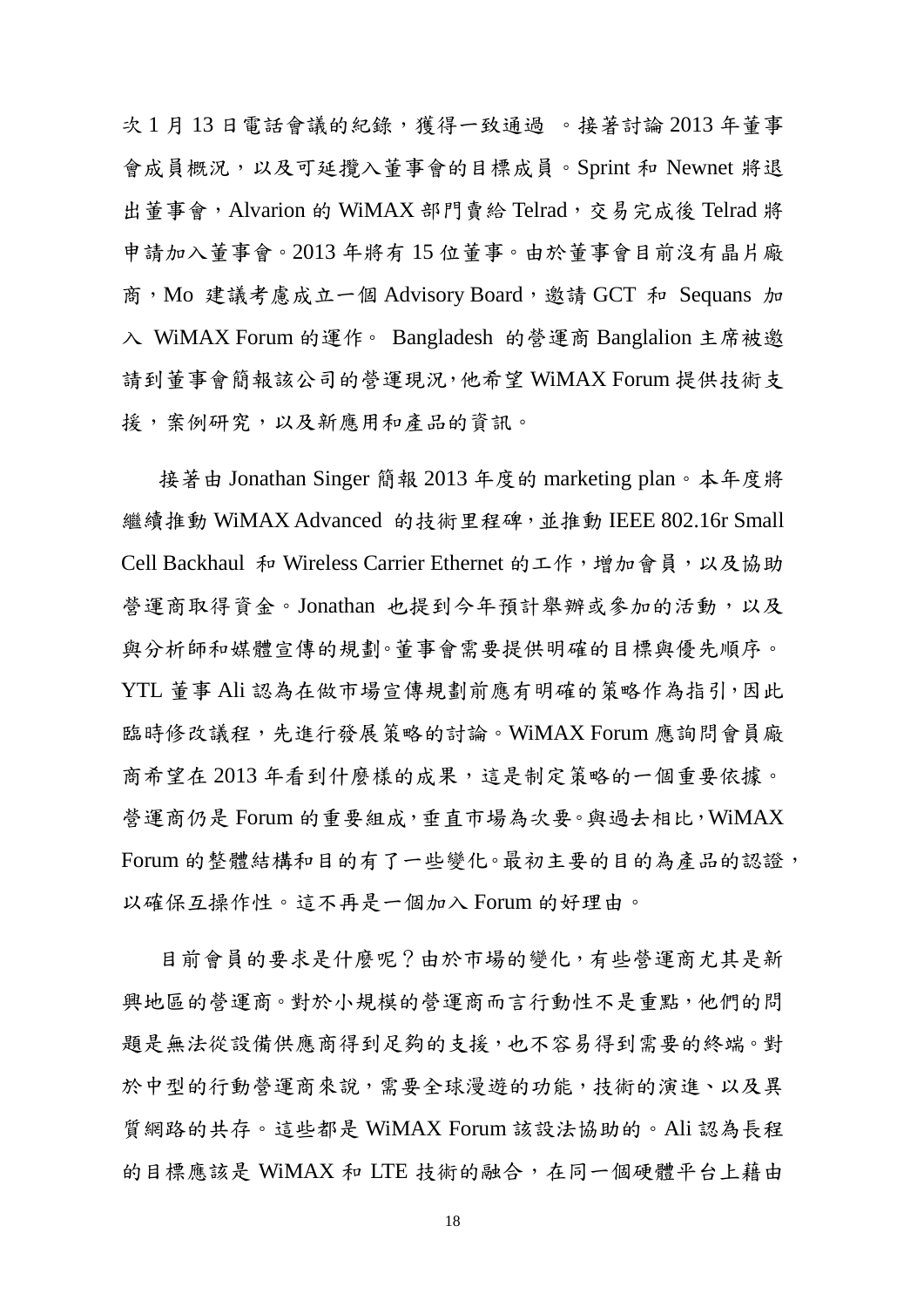次 1 月 13 日電話會議的紀錄,獲得一致通過 。接著討論 2013 年董事 會成員概況,以及可延攬入董事會的目標成員。Sprint 和 Newnet 將退 出董事會, Alvarion 的 WiMAX 部門賣給 Telrad, 交易完成後 Telrad 將 申請加入董事會。2013 年將有 15 位董事。由於董事會目前沒有晶片廠 商,Mo 建議考慮成立一個 Advisory Board,邀請 GCT 和 Sequans 加 入 WiMAX Forum 的運作。 Bangladesh 的營運商 Banglalion 主席被邀 請到董事會簡報該公司的營運現況,他希望 WiMAX Forum 提供技術支 援,案例研究,以及新應用和產品的資訊。

接著由 Jonathan Singer 簡報 2013 年度的 marketing plan。本年度將 繼續推動 WiMAX Advanced 的技術里程碑,並推動 IEEE 802.16r Small Cell Backhaul 和 Wireless Carrier Ethernet 的工作,增加會員,以及協助 營運商取得資金。Jonathan 也提到今年預計舉辦或參加的活動,以及 與分析師和媒體宣傳的規劃。董事會需要提供明確的目標與優先順序。 YTL 董事 Ali 認為在做市場宣傳規劃前應有明確的策略作為指引,因此 臨時修改議程,先進行發展策略的討論。WiMAX Forum 應詢問會員廠 商希望在 2013年看到什麼樣的成果,這是制定策略的一個重要依據。 營運商仍是 Forum 的重要組成,垂直市場為次要。與過去相比,WiMAX Forum 的整體結構和目的有了一些變化。最初主要的目的為產品的認證, 以確保互操作性。這不再是一個加入 Forum 的好理由。

目前會員的要求是什麼呢?由於市場的變化,有些營運商尤其是新 興地區的營運商。對於小規模的營運商而言行動性不是重點,他們的問 題是無法從設備供應商得到足夠的支援,也不容易得到需要的終端。對 於中型的行動營運商來說,需要全球漫遊的功能,技術的演進、以及異 質網路的共存。這些都是 WiMAX Forum 該設法協助的。Ali 認為長程 的目標應該是 WiMAX 和 LTE 技術的融合,在同一個硬體平台上藉由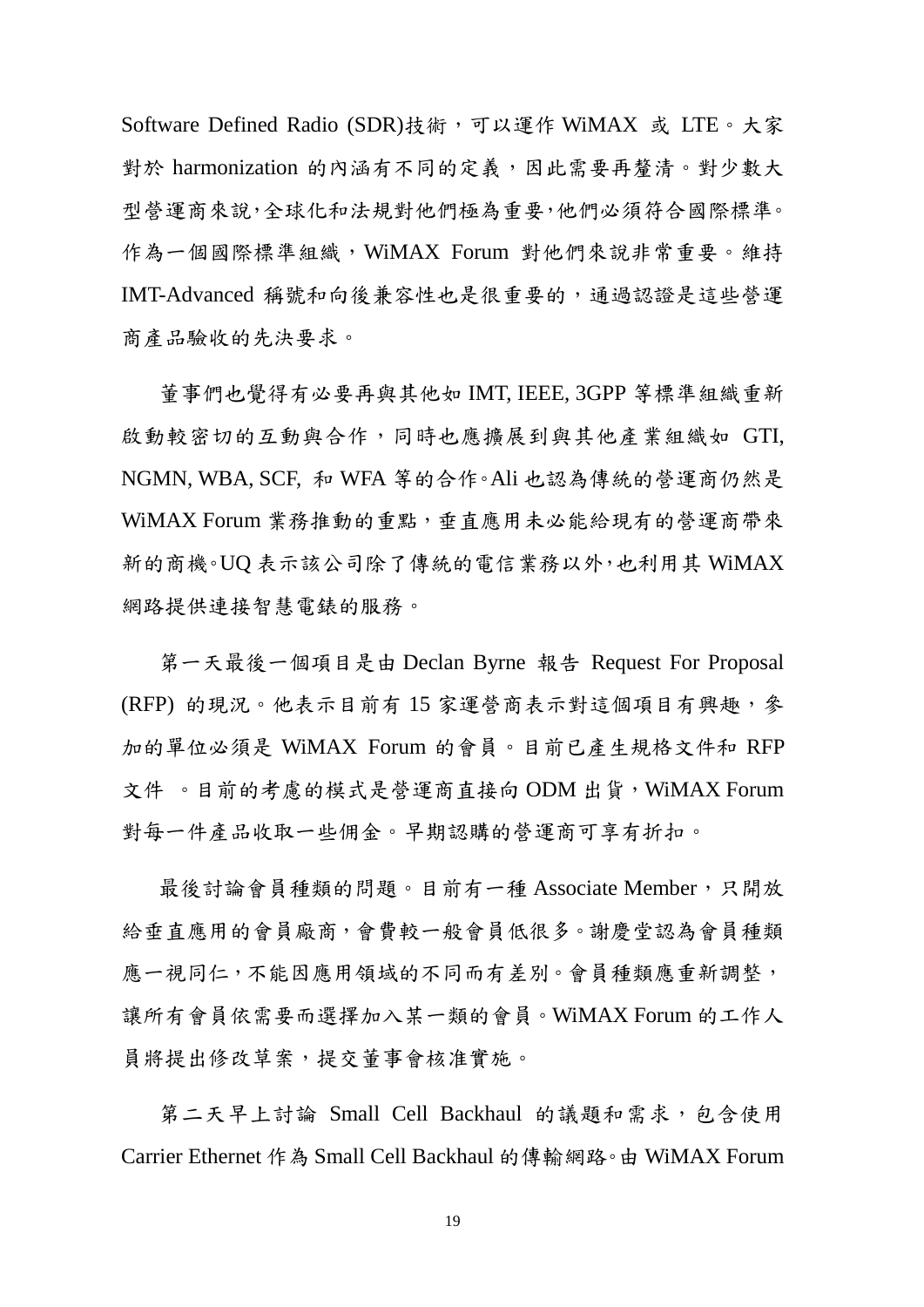Software Defined Radio (SDR)技術,可以運作 WiMAX 或 LTE。大家 對於 harmonization 的內涵有不同的定義,因此需要再釐清。對少數大 型營運商來說,全球化和法規對他們極為重要,他們必須符合國際標準。 作為一個國際標準組織,WiMAX Forum 對他們來說非常重要。維持 IMT-Advanced 稱號和向後兼容性也是很重要的,通過認證是這些營運 商產品驗收的先決要求。

董事們也覺得有必要再與其他如 IMT, IEEE, 3GPP 等標準組織重新 啟動較密切的互動與合作,同時也應擴展到與其他產業組織如 GTI, NGMN, WBA, SCF, 和 WFA 等的合作。Ali 也認為傳統的營運商仍然是 WiMAX Forum 業務推動的重點,垂直應用未必能給現有的營運商帶來 新的商機。UQ 表示該公司除了傳統的電信業務以外,也利用其 WiMAX 網路提供連接智慧電錶的服務。

第一天最後一個項目是由 Declan Byrne 報告 Request For Proposal (RFP) 的現況。他表示目前有 15 家運營商表示對這個項目有興趣,參 加的單位必須是 WiMAX Forum 的會員。目前已產生規格文件和 RFP 文件 。目前的考慮的模式是營運商直接向 ODM 出貨,WiMAX Forum 對每一件產品收取一些佣金。早期認購的營運商可享有折扣。

最後討論會員種類的問題。目前有一種 Associate Member,只開放 給垂直應用的會員廠商,會費較一般會員低很多。謝慶堂認為會員種類 應一視同仁,不能因應用領域的不同而有差別。會員種類應重新調整, 讓所有會員依需要而選擇加入某一類的會員。WiMAX Forum 的工作人 員將提出修改草案,提交董事會核准實施。

第二天早上討論 Small Cell Backhaul 的議題和需求,包含使用 Carrier Ethernet 作為 Small Cell Backhaul 的傳輸網路。由 WiMAX Forum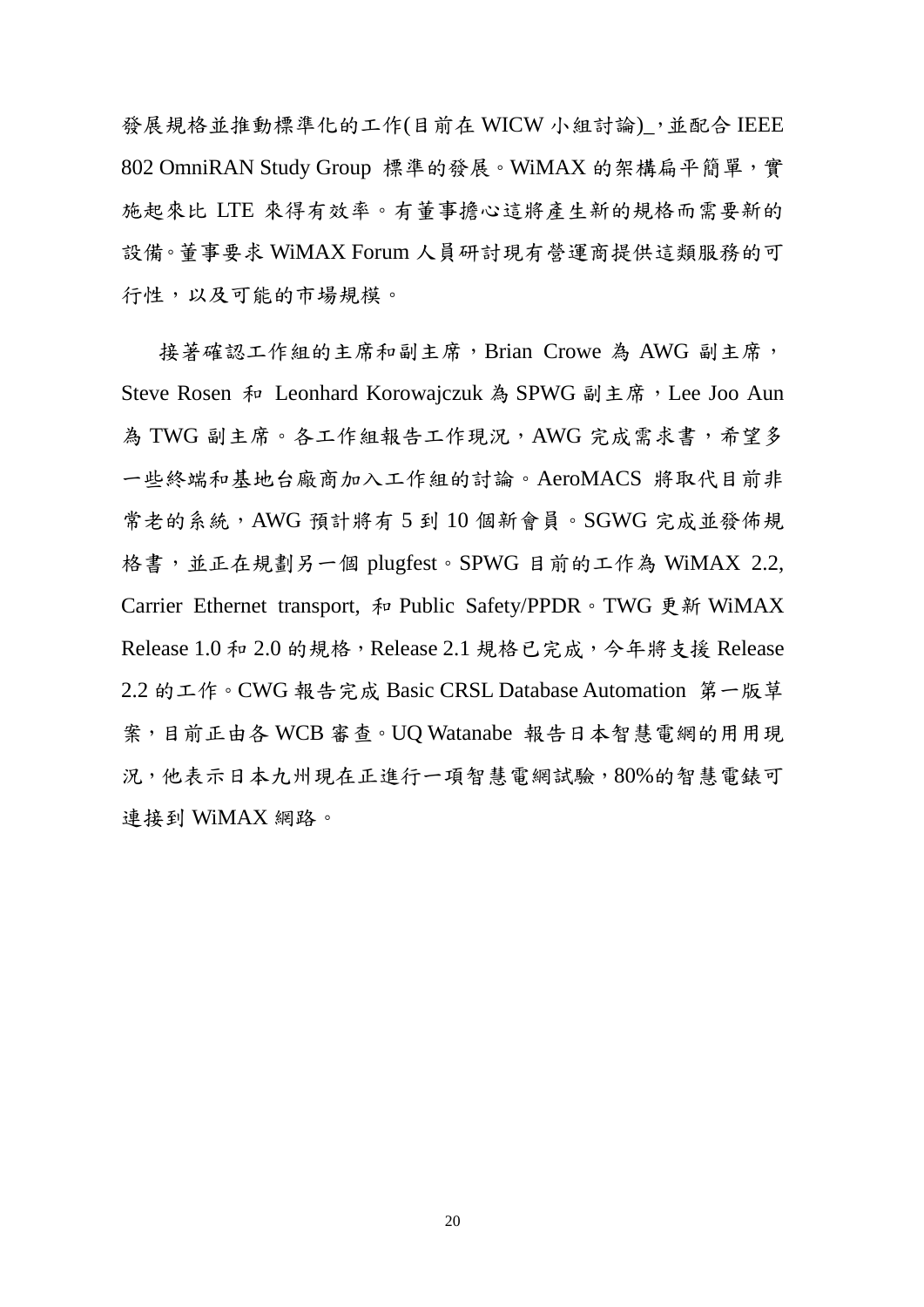發展規格並推動標準化的工作(目前在 WICW 小組討論)\_,並配合 IEEE 802 OmniRAN Study Group 標準的發展。WiMAX 的架構扁平簡單,實 施起來比 LTE 來得有效率。有董事擔心這將產生新的規格而需要新的 設備。董事要求 WiMAX Forum 人員研討現有營運商提供這類服務的可 行性,以及可能的市場規模。

接著確認工作組的主席和副主席,Brian Crowe 為 AWG 副主席, Steve Rosen 和 Leonhard Korowajczuk 為 SPWG 副主席, Lee Joo Aun 為 TWG 副主席。各工作組報告工作現況, AWG 完成需求書,希望多 一些終端和基地台廠商加入工作組的討論。AeroMACS 將取代目前非 常老的系統,AWG 預計將有 5 到 10 個新會員。SGWG 完成並發佈規 格書,並正在規劃另一個 plugfest。SPWG 目前的工作為 WiMAX 2.2, Carrier Ethernet transport, 和 Public Safety/PPDR。TWG 更新 WiMAX Release 1.0 和 2.0 的規格,Release 2.1 規格已完成,今年將支援 Release 2.2 的工作。CWG 報告完成 Basic CRSL Database Automation 第一版草 案,目前正由各 WCB 審查。UQ Watanabe 報告日本智慧電網的用用現 況,他表示日本九州現在正進行一項智慧電網試驗,80%的智慧電錶可 連接到 WiMAX 網路。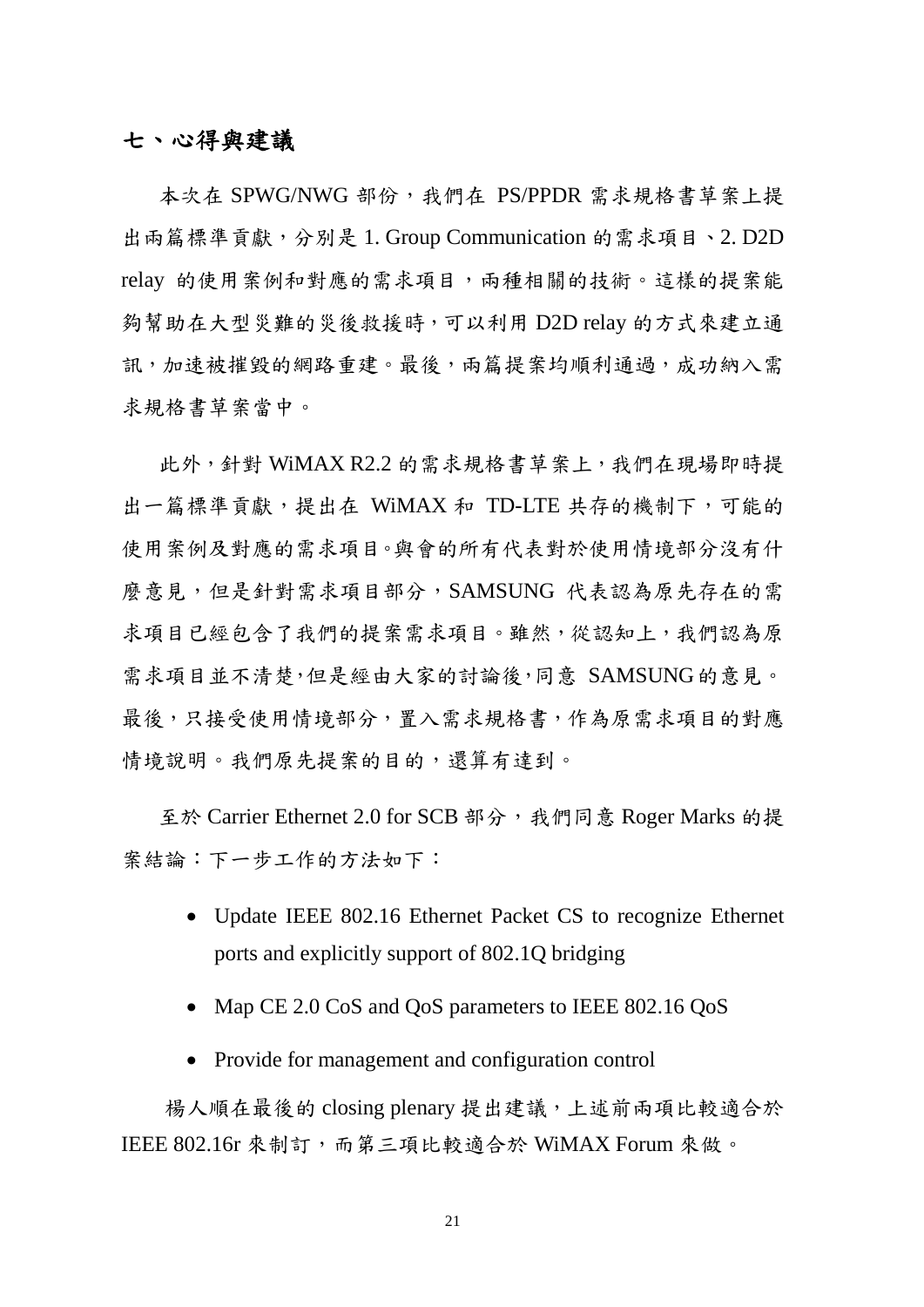# 七、心得與建議

本次在 SPWG/NWG 部份,我們在 PS/PPDR 需求規格書草案上提 出兩篇標準貢獻,分別是 1. Group Communication 的需求項目、2. D2D relay 的使用案例和對應的需求項目,兩種相關的技術。這樣的提案能 夠幫助在大型災難的災後救援時,可以利用 D2D relay 的方式來建立通 訊,加速被摧毀的網路重建。最後,兩篇提案均順利通過,成功納入需 求規格書草案當中。

此外,針對 WiMAX R2.2 的需求規格書草案上,我們在現場即時提 出一篇標準貢獻,提出在 WiMAX 和 TD-LTE 共存的機制下,可能的 使用案例及對應的需求項目。與會的所有代表對於使用情境部分沒有什 麼意見,但是針對需求項目部分,SAMSUNG 代表認為原先存在的需 求項目已經包含了我們的提案需求項目。雖然,從認知上,我們認為原 需求項目並不清楚,但是經由大家的討論後,同意 SAMSUNG的意見。 最後,只接受使用情境部分,置入需求規格書,作為原需求項目的對應 情境說明。我們原先提案的目的,還算有達到。

至於 Carrier Ethernet 2.0 for SCB 部分,我們同意 Roger Marks 的提 案結論:下一步工作的方法如下:

- Update IEEE 802.16 Ethernet Packet CS to recognize Ethernet ports and explicitly support of 802.1Q bridging
- Map CE 2.0 CoS and QoS parameters to IEEE 802.16 QoS
- Provide for management and configuration control

楊人順在最後的 closing plenary 提出建議,上述前兩項比較適合於 IEEE 802.16r 來制訂,而第三項比較適合於 WiMAX Forum 來做。